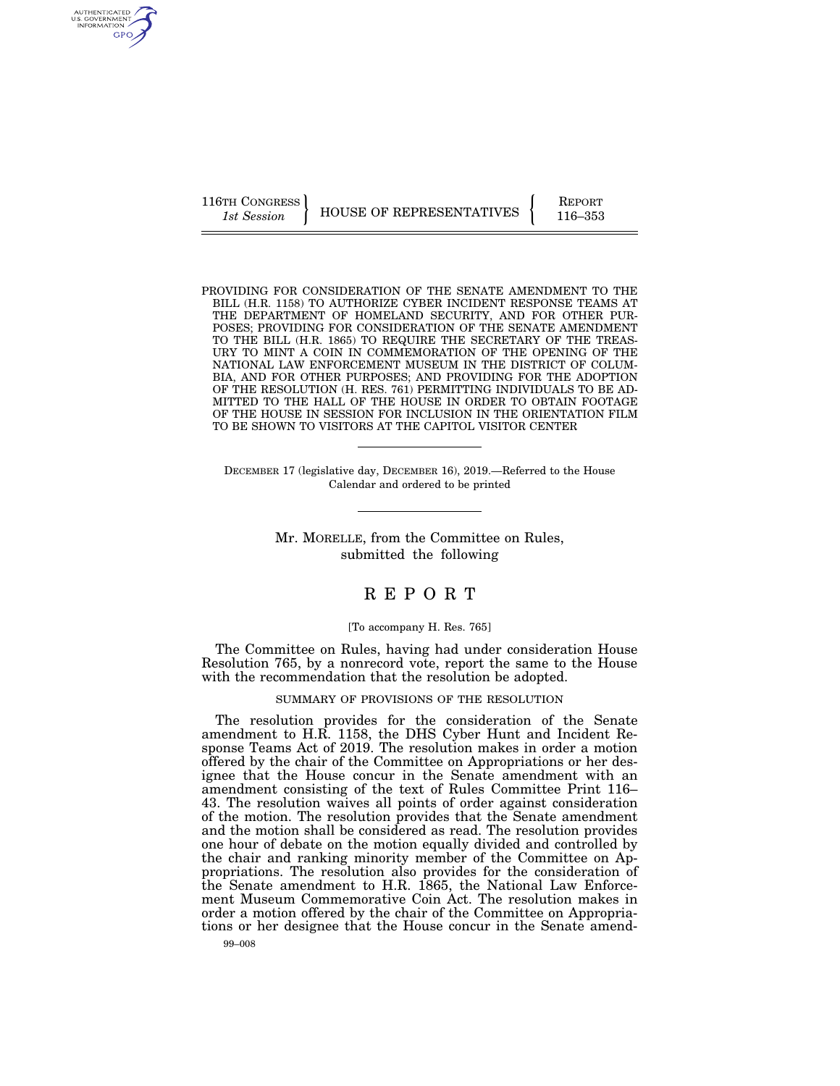AUTHENTICATED U.S. GOVERNMENT GPO

116TH CONGRESS HOUSE OF REPRESENTATIVES FEPORT 116–353

PROVIDING FOR CONSIDERATION OF THE SENATE AMENDMENT TO THE BILL (H.R. 1158) TO AUTHORIZE CYBER INCIDENT RESPONSE TEAMS AT THE DEPARTMENT OF HOMELAND SECURITY, AND FOR OTHER PUR-POSES; PROVIDING FOR CONSIDERATION OF THE SENATE AMENDMENT TO THE BILL (H.R. 1865) TO REQUIRE THE SECRETARY OF THE TREAS-URY TO MINT A COIN IN COMMEMORATION OF THE OPENING OF THE NATIONAL LAW ENFORCEMENT MUSEUM IN THE DISTRICT OF COLUM-BIA, AND FOR OTHER PURPOSES; AND PROVIDING FOR THE ADOPTION OF THE RESOLUTION (H. RES. 761) PERMITTING INDIVIDUALS TO BE AD-MITTED TO THE HALL OF THE HOUSE IN ORDER TO OBTAIN FOOTAGE OF THE HOUSE IN SESSION FOR INCLUSION IN THE ORIENTATION FILM TO BE SHOWN TO VISITORS AT THE CAPITOL VISITOR CENTER

DECEMBER 17 (legislative day, DECEMBER 16), 2019.—Referred to the House Calendar and ordered to be printed

> Mr. MORELLE, from the Committee on Rules, submitted the following

# R E P O R T

## [To accompany H. Res. 765]

The Committee on Rules, having had under consideration House Resolution 765, by a nonrecord vote, report the same to the House with the recommendation that the resolution be adopted.

SUMMARY OF PROVISIONS OF THE RESOLUTION

The resolution provides for the consideration of the Senate amendment to H.R. 1158, the DHS Cyber Hunt and Incident Response Teams Act of 2019. The resolution makes in order a motion offered by the chair of the Committee on Appropriations or her designee that the House concur in the Senate amendment with an amendment consisting of the text of Rules Committee Print 116– 43. The resolution waives all points of order against consideration of the motion. The resolution provides that the Senate amendment and the motion shall be considered as read. The resolution provides one hour of debate on the motion equally divided and controlled by the chair and ranking minority member of the Committee on Appropriations. The resolution also provides for the consideration of the Senate amendment to H.R. 1865, the National Law Enforcement Museum Commemorative Coin Act. The resolution makes in order a motion offered by the chair of the Committee on Appropriations or her designee that the House concur in the Senate amend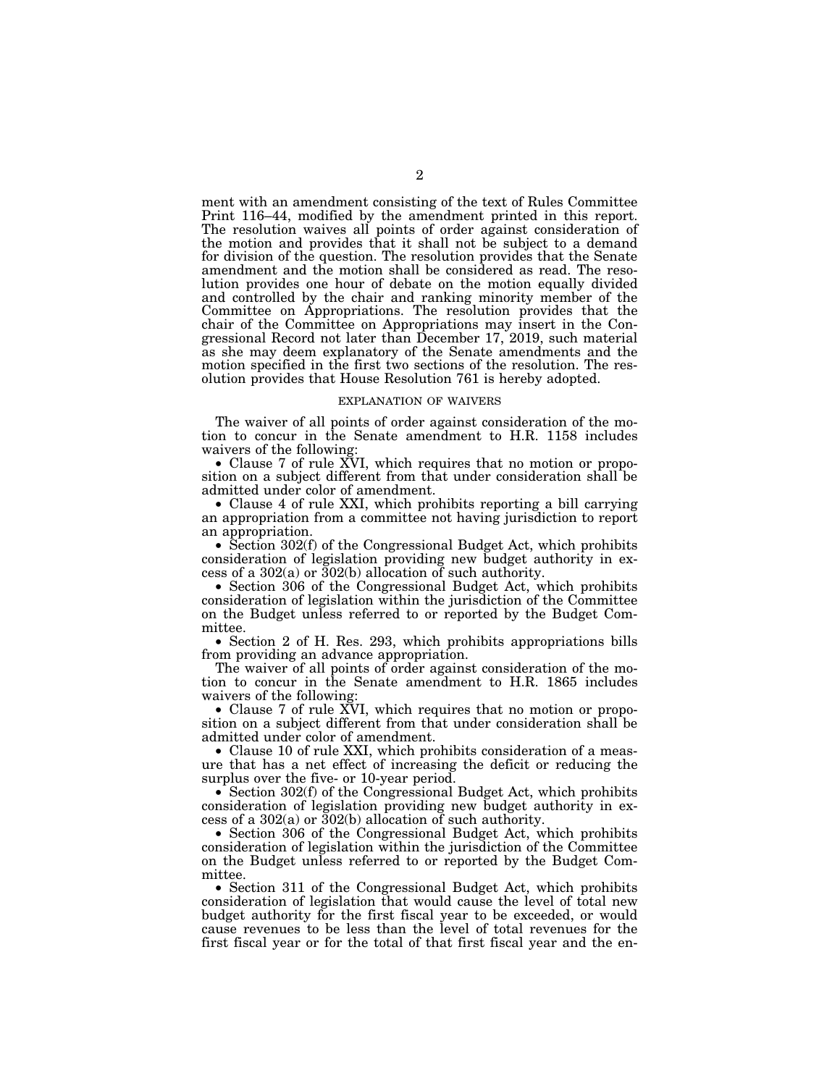ment with an amendment consisting of the text of Rules Committee Print 116–44, modified by the amendment printed in this report. The resolution waives all points of order against consideration of the motion and provides that it shall not be subject to a demand for division of the question. The resolution provides that the Senate amendment and the motion shall be considered as read. The resolution provides one hour of debate on the motion equally divided and controlled by the chair and ranking minority member of the Committee on Appropriations. The resolution provides that the chair of the Committee on Appropriations may insert in the Congressional Record not later than December 17, 2019, such material as she may deem explanatory of the Senate amendments and the motion specified in the first two sections of the resolution. The resolution provides that House Resolution 761 is hereby adopted.

### EXPLANATION OF WAIVERS

The waiver of all points of order against consideration of the motion to concur in the Senate amendment to H.R. 1158 includes waivers of the following

• Clause 7 of rule XVI, which requires that no motion or proposition on a subject different from that under consideration shall be admitted under color of amendment.

• Clause 4 of rule XXI, which prohibits reporting a bill carrying an appropriation from a committee not having jurisdiction to report an appropriation.

• Section 302(f) of the Congressional Budget Act, which prohibits consideration of legislation providing new budget authority in excess of a  $302(a)$  or  $302(b)$  allocation of such authority.

• Section 306 of the Congressional Budget Act, which prohibits consideration of legislation within the jurisdiction of the Committee on the Budget unless referred to or reported by the Budget Committee.

• Section 2 of H. Res. 293, which prohibits appropriations bills from providing an advance appropriation.

The waiver of all points of order against consideration of the motion to concur in the Senate amendment to H.R. 1865 includes waivers of the following:

• Clause 7 of rule XVI, which requires that no motion or proposition on a subject different from that under consideration shall be admitted under color of amendment.

• Clause 10 of rule XXI, which prohibits consideration of a measure that has a net effect of increasing the deficit or reducing the surplus over the five- or 10-year period.

• Section 302(f) of the Congressional Budget Act, which prohibits consideration of legislation providing new budget authority in excess of a  $302(a)$  or  $302(b)$  allocation of such authority.

• Section 306 of the Congressional Budget Act, which prohibits consideration of legislation within the jurisdiction of the Committee on the Budget unless referred to or reported by the Budget Committee.

• Section 311 of the Congressional Budget Act, which prohibits consideration of legislation that would cause the level of total new budget authority for the first fiscal year to be exceeded, or would cause revenues to be less than the level of total revenues for the first fiscal year or for the total of that first fiscal year and the en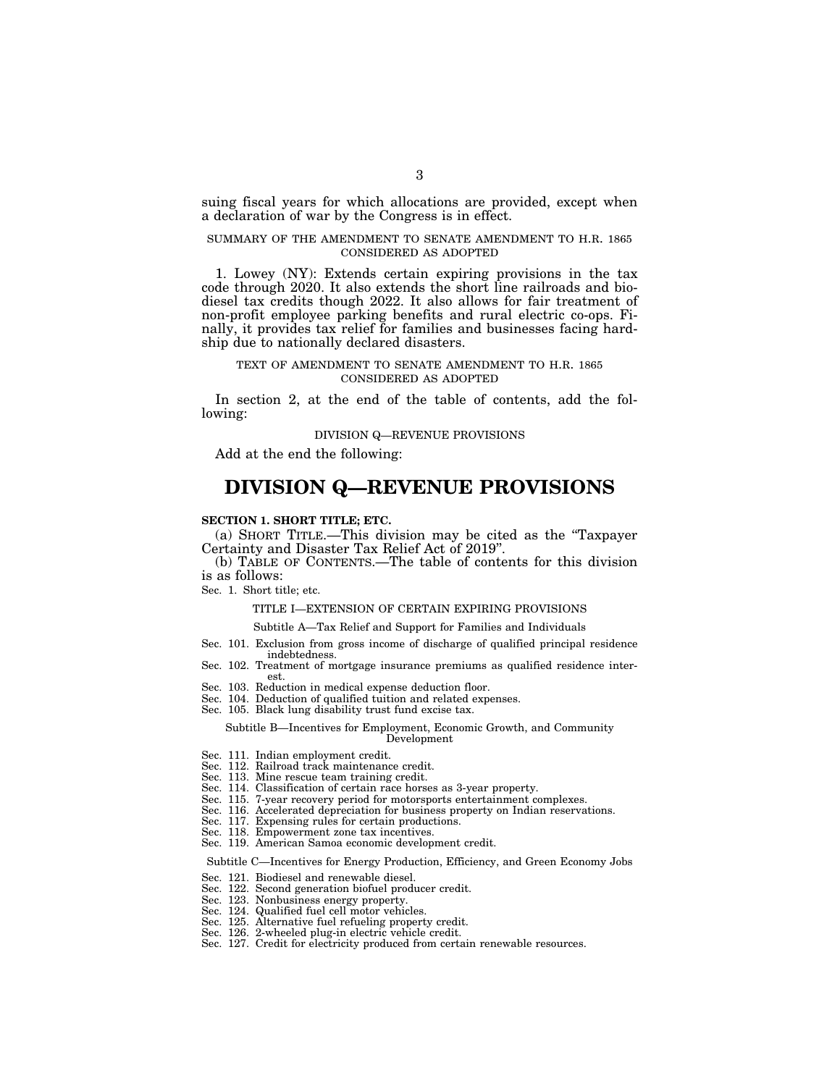suing fiscal years for which allocations are provided, except when a declaration of war by the Congress is in effect.

## SUMMARY OF THE AMENDMENT TO SENATE AMENDMENT TO H.R. 1865 CONSIDERED AS ADOPTED

1. Lowey (NY): Extends certain expiring provisions in the tax code through 2020. It also extends the short line railroads and biodiesel tax credits though 2022. It also allows for fair treatment of non-profit employee parking benefits and rural electric co-ops. Finally, it provides tax relief for families and businesses facing hardship due to nationally declared disasters.

## TEXT OF AMENDMENT TO SENATE AMENDMENT TO H.R. 1865 CONSIDERED AS ADOPTED

In section 2, at the end of the table of contents, add the following:

### DIVISION Q—REVENUE PROVISIONS

Add at the end the following:

# **DIVISION Q—REVENUE PROVISIONS**

### **SECTION 1. SHORT TITLE; ETC.**

(a) SHORT TITLE.—This division may be cited as the ''Taxpayer Certainty and Disaster Tax Relief Act of 2019''.

(b) TABLE OF CONTENTS.—The table of contents for this division is as follows:

Sec. 1. Short title; etc.

# TITLE I—EXTENSION OF CERTAIN EXPIRING PROVISIONS

Subtitle A—Tax Relief and Support for Families and Individuals

- Sec. 101. Exclusion from gross income of discharge of qualified principal residence indebtedness.
- Sec. 102. Treatment of mortgage insurance premiums as qualified residence interest.
- Sec. 103. Reduction in medical expense deduction floor.
- Sec. 104. Deduction of qualified tuition and related expenses.
- Sec. 105. Black lung disability trust fund excise tax.

### Subtitle B—Incentives for Employment, Economic Growth, and Community Development

- Sec. 111. Indian employment credit.
- Sec. 112. Railroad track maintenance credit.
- Sec. 113. Mine rescue team training credit.
- Sec. 114. Classification of certain race horses as 3-year property.
- Sec. 115. 7-year recovery period for motorsports entertainment complexes.
- Sec. 116. Accelerated depreciation for business property on Indian reservations.
- Sec. 117. Expensing rules for certain productions.
- Sec. 118. Empowerment zone tax incentives.
- Sec. 119. American Samoa economic development credit.

Subtitle C—Incentives for Energy Production, Efficiency, and Green Economy Jobs

- Sec. 121. Biodiesel and renewable diesel.
- Sec. 122. Second generation biofuel producer credit.
- Sec. 123. Nonbusiness energy property.<br>Sec. 124. Qualified fuel cell motor vehic
- Qualified fuel cell motor vehicles.
- Sec. 125. Alternative fuel refueling property credit.
- Sec. 126. 2-wheeled plug-in electric vehicle credit.
- Sec. 127. Credit for electricity produced from certain renewable resources.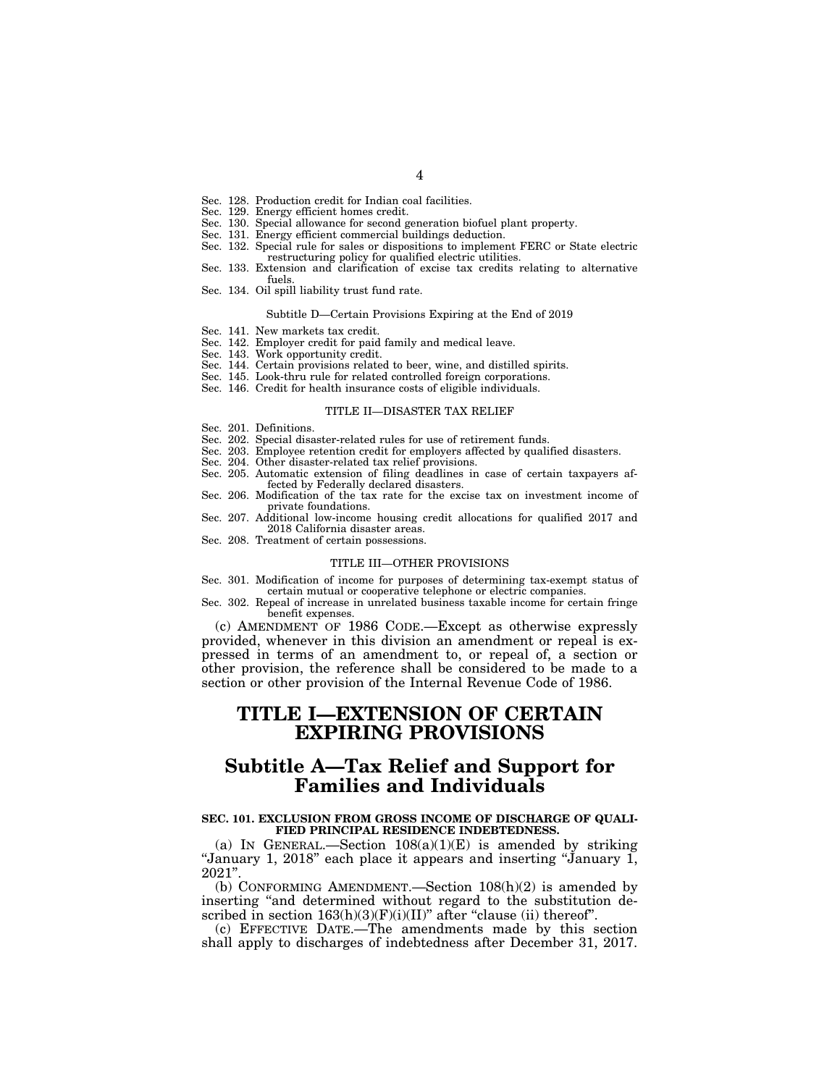- Sec. 128. Production credit for Indian coal facilities.
- Sec. 129. Energy efficient homes credit.
- Sec. 130. Special allowance for second generation biofuel plant property.
- Sec. 131. Energy efficient commercial buildings deduction.
- Sec. 132. Special rule for sales or dispositions to implement FERC or State electric restructuring policy for qualified electric utilities.
- Sec. 133. Extension and clarification of excise tax credits relating to alternative fuels.
- Sec. 134. Oil spill liability trust fund rate.

### Subtitle D—Certain Provisions Expiring at the End of 2019

- Sec. 141. New markets tax credit.
- Sec. 142. Employer credit for paid family and medical leave.
- Sec. 143. Work opportunity credit.
- Sec. 144. Certain provisions related to beer, wine, and distilled spirits.
- Sec. 145. Look-thru rule for related controlled foreign corporations.
- Sec. 146. Credit for health insurance costs of eligible individuals.

#### TITLE II—DISASTER TAX RELIEF

- Sec. 201. Definitions.
- Sec. 202. Special disaster-related rules for use of retirement funds.
- Sec. 203. Employee retention credit for employers affected by qualified disasters.
- Sec. 204. Other disaster-related tax relief provisions.
- Sec. 205. Automatic extension of filing deadlines in case of certain taxpayers affected by Federally declared disasters.
- Sec. 206. Modification of the tax rate for the excise tax on investment income of private foundations.
- Sec. 207. Additional low-income housing credit allocations for qualified 2017 and 2018 California disaster areas.
- Sec. 208. Treatment of certain possessions.

### TITLE III—OTHER PROVISIONS

- Sec. 301. Modification of income for purposes of determining tax-exempt status of certain mutual or cooperative telephone or electric companies.
- Sec. 302. Repeal of increase in unrelated business taxable income for certain fringe benefit expenses.

(c) AMENDMENT OF 1986 CODE.—Except as otherwise expressly provided, whenever in this division an amendment or repeal is expressed in terms of an amendment to, or repeal of, a section or other provision, the reference shall be considered to be made to a section or other provision of the Internal Revenue Code of 1986.

# **TITLE I—EXTENSION OF CERTAIN EXPIRING PROVISIONS**

# **Subtitle A—Tax Relief and Support for Families and Individuals**

## **SEC. 101. EXCLUSION FROM GROSS INCOME OF DISCHARGE OF QUALI-FIED PRINCIPAL RESIDENCE INDEBTEDNESS.**

(a) IN GENERAL.—Section  $108(a)(1)(E)$  is amended by striking ''January 1, 2018'' each place it appears and inserting ''January 1, 2021''.

(b) CONFORMING AMENDMENT.—Section 108(h)(2) is amended by inserting ''and determined without regard to the substitution described in section  $163(h)(3)(F)(i)(II)$ " after "clause (ii) thereof".

(c) EFFECTIVE DATE.—The amendments made by this section shall apply to discharges of indebtedness after December 31, 2017.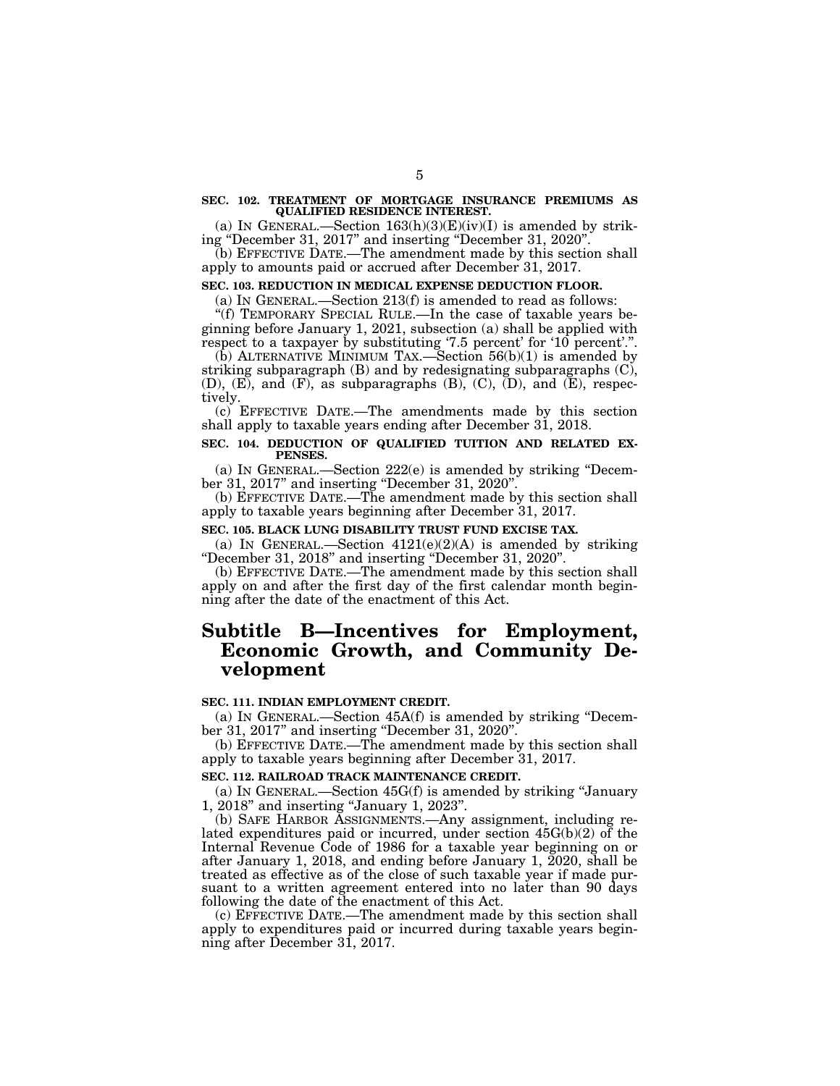### **SEC. 102. TREATMENT OF MORTGAGE INSURANCE PREMIUMS AS QUALIFIED RESIDENCE INTEREST.**

(a) IN GENERAL.—Section  $163(h)(3)(E)(iv)(I)$  is amended by striking ''December 31, 2017'' and inserting ''December 31, 2020''.

(b) EFFECTIVE DATE.—The amendment made by this section shall apply to amounts paid or accrued after December 31, 2017.

## **SEC. 103. REDUCTION IN MEDICAL EXPENSE DEDUCTION FLOOR.**

(a) IN GENERAL.—Section 213(f) is amended to read as follows:

''(f) TEMPORARY SPECIAL RULE.—In the case of taxable years beginning before January 1, 2021, subsection (a) shall be applied with respect to a taxpayer by substituting '7.5 percent' for '10 percent'.".

 $(b)$  ALTERNATIVE MINIMUM TAX.—Section  $56(b)(1)$  is amended by striking subparagraph  $(B)$  and by redesignating subparagraphs  $(C)$ ,  $(D)$ ,  $(E)$ , and  $(F)$ , as subparagraphs  $(B)$ ,  $(C)$ ,  $(D)$ , and  $(E)$ , respectively.

(c) EFFECTIVE DATE.—The amendments made by this section shall apply to taxable years ending after December 31, 2018.

# **SEC. 104. DEDUCTION OF QUALIFIED TUITION AND RELATED EX-PENSES.**

(a) IN GENERAL.—Section 222(e) is amended by striking ''December 31, 2017'' and inserting ''December 31, 2020''.

(b) EFFECTIVE DATE.—The amendment made by this section shall apply to taxable years beginning after December 31, 2017.

# **SEC. 105. BLACK LUNG DISABILITY TRUST FUND EXCISE TAX.**

(a) IN GENERAL.—Section  $4121(e)(2)(A)$  is amended by striking ''December 31, 2018'' and inserting ''December 31, 2020''.

(b) EFFECTIVE DATE.—The amendment made by this section shall apply on and after the first day of the first calendar month beginning after the date of the enactment of this Act.

# **Subtitle B—Incentives for Employment, Economic Growth, and Community Development**

# **SEC. 111. INDIAN EMPLOYMENT CREDIT.**

(a) IN GENERAL.—Section 45A(f) is amended by striking ''December 31, 2017'' and inserting "December 31, 2020".

(b) EFFECTIVE DATE.—The amendment made by this section shall apply to taxable years beginning after December 31, 2017.

# **SEC. 112. RAILROAD TRACK MAINTENANCE CREDIT.**

(a) IN GENERAL.—Section 45G(f) is amended by striking ''January 1, 2018'' and inserting ''January 1, 2023''.

(b) SAFE HARBOR ASSIGNMENTS.—Any assignment, including related expenditures paid or incurred, under section 45G(b)(2) of the Internal Revenue Code of 1986 for a taxable year beginning on or after January 1, 2018, and ending before January 1, 2020, shall be treated as effective as of the close of such taxable year if made pursuant to a written agreement entered into no later than 90 days following the date of the enactment of this Act.

(c) EFFECTIVE DATE.—The amendment made by this section shall apply to expenditures paid or incurred during taxable years beginning after December 31, 2017.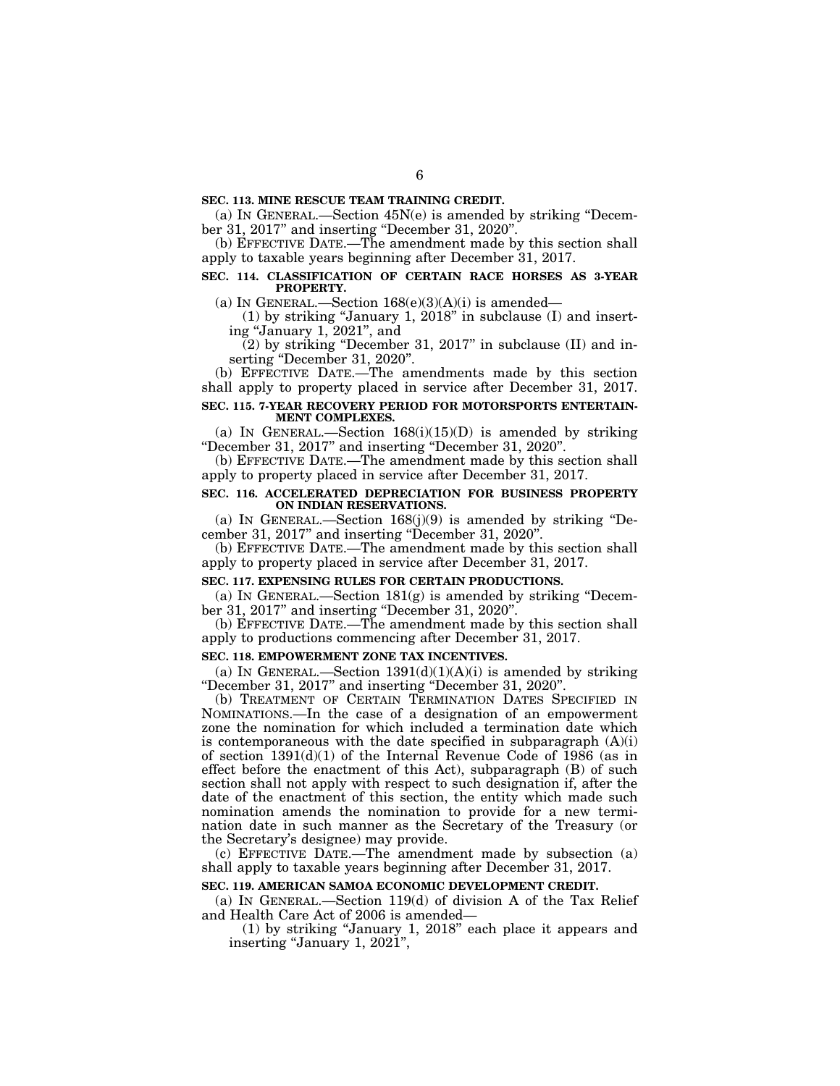# **SEC. 113. MINE RESCUE TEAM TRAINING CREDIT.**

(a) IN GENERAL.—Section 45N(e) is amended by striking ''December 31, 2017'' and inserting ''December 31, 2020''.

(b) EFFECTIVE DATE.—The amendment made by this section shall apply to taxable years beginning after December 31, 2017.

# **SEC. 114. CLASSIFICATION OF CERTAIN RACE HORSES AS 3-YEAR PROPERTY.**

(a) IN GENERAL.—Section  $168(e)(3)(A)(i)$  is amended—

(1) by striking ''January 1, 2018'' in subclause (I) and inserting ''January 1, 2021'', and

 $(2)$  by striking "December 31, 2017" in subclause (II) and inserting "December 31, 2020".

(b) EFFECTIVE DATE.—The amendments made by this section shall apply to property placed in service after December 31, 2017.

# **SEC. 115. 7-YEAR RECOVERY PERIOD FOR MOTORSPORTS ENTERTAIN-MENT COMPLEXES.**

(a) IN GENERAL.—Section  $168(i)(15)(D)$  is amended by striking ''December 31, 2017'' and inserting ''December 31, 2020''.

(b) EFFECTIVE DATE.—The amendment made by this section shall apply to property placed in service after December 31, 2017.

## **SEC. 116. ACCELERATED DEPRECIATION FOR BUSINESS PROPERTY ON INDIAN RESERVATIONS.**

(a) IN GENERAL.—Section  $168(j)(9)$  is amended by striking "December 31, 2017'' and inserting ''December 31, 2020''.

(b) EFFECTIVE DATE.—The amendment made by this section shall apply to property placed in service after December 31, 2017.

# **SEC. 117. EXPENSING RULES FOR CERTAIN PRODUCTIONS.**

(a) IN GENERAL.—Section  $181(g)$  is amended by striking "December 31, 2017" and inserting "December 31, 2020".

(b) EFFECTIVE DATE.—The amendment made by this section shall apply to productions commencing after December 31, 2017.

# **SEC. 118. EMPOWERMENT ZONE TAX INCENTIVES.**

(a) IN GENERAL.—Section  $1391(d)(1)(A)(i)$  is amended by striking ''December 31, 2017'' and inserting ''December 31, 2020''.

(b) TREATMENT OF CERTAIN TERMINATION DATES SPECIFIED IN NOMINATIONS.—In the case of a designation of an empowerment zone the nomination for which included a termination date which is contemporaneous with the date specified in subparagraph  $(A)(i)$ of section  $1391(d)(1)$  of the Internal Revenue Code of 1986 (as in effect before the enactment of this Act), subparagraph (B) of such section shall not apply with respect to such designation if, after the date of the enactment of this section, the entity which made such nomination amends the nomination to provide for a new termination date in such manner as the Secretary of the Treasury (or the Secretary's designee) may provide.

(c) EFFECTIVE DATE.—The amendment made by subsection (a) shall apply to taxable years beginning after December 31, 2017.

## **SEC. 119. AMERICAN SAMOA ECONOMIC DEVELOPMENT CREDIT.**

(a) IN GENERAL.—Section 119(d) of division A of the Tax Relief and Health Care Act of 2006 is amended—

(1) by striking ''January 1, 2018'' each place it appears and inserting "January 1, 2021",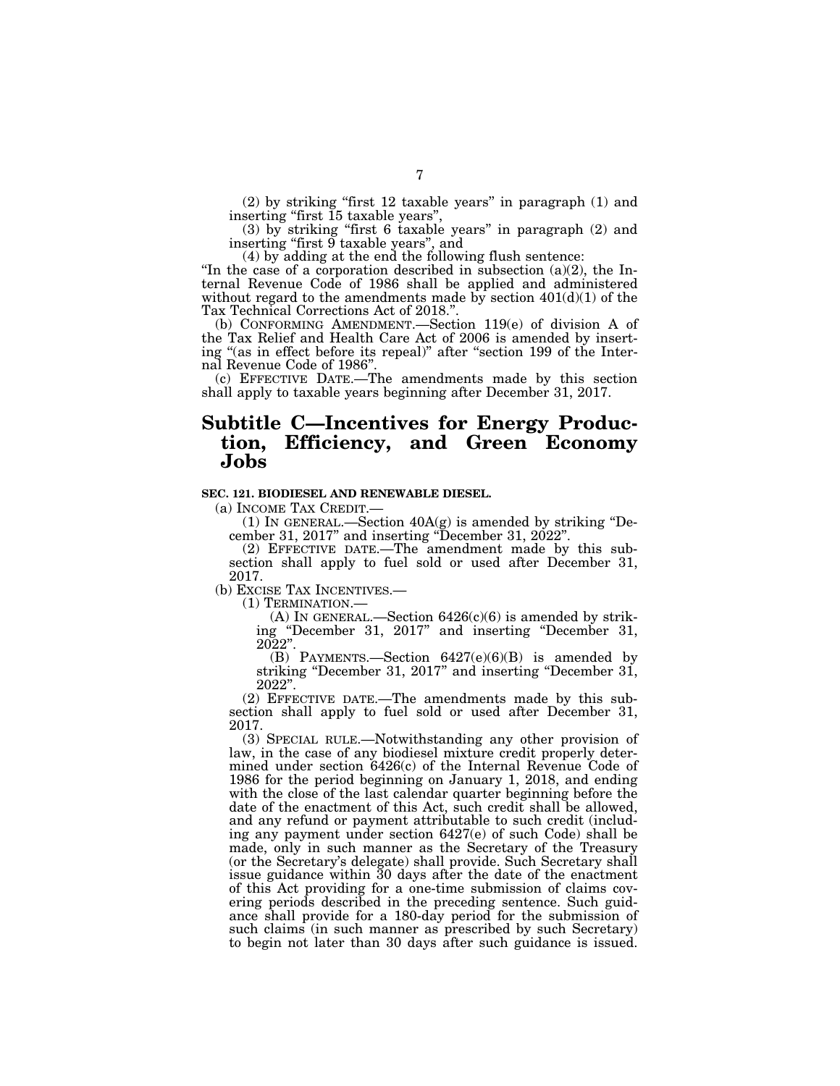(2) by striking ''first 12 taxable years'' in paragraph (1) and inserting ''first 15 taxable years'',

(3) by striking ''first 6 taxable years'' in paragraph (2) and inserting ''first 9 taxable years'', and

(4) by adding at the end the following flush sentence:

"In the case of a corporation described in subsection (a)(2), the Internal Revenue Code of 1986 shall be applied and administered without regard to the amendments made by section  $401(d)(1)$  of the Tax Technical Corrections Act of 2018.''.

(b) CONFORMING AMENDMENT.—Section 119(e) of division A of the Tax Relief and Health Care Act of 2006 is amended by inserting "(as in effect before its repeal)" after "section 199 of the Internal Revenue Code of 1986''.

(c) EFFECTIVE DATE.—The amendments made by this section shall apply to taxable years beginning after December 31, 2017.

# **Subtitle C—Incentives for Energy Production, Efficiency, and Green Economy Jobs**

# **SEC. 121. BIODIESEL AND RENEWABLE DIESEL.**

(a) INCOME TAX CREDIT.—<br>(1) IN GENERAL.—Section 40A(g) is amended by striking "December 31, 2017'' and inserting ''December 31, 2022''.

(2) EFFECTIVE DATE.—The amendment made by this subsection shall apply to fuel sold or used after December 31, 2017.<br>(b) EXCISE TAX INCENTIVES.

(1) TERMINATION.—<br>(A) IN GENERAL.—Section  $6426(c)(6)$  is amended by striking ''December 31, 2017'' and inserting ''December 31,  $2022$   $\rlap{.}^{\circ}$  .

(B) PAYMENTS.—Section 6427(e)(6)(B) is amended by striking "December 31, 2017" and inserting "December 31, 2022''.

(2) EFFECTIVE DATE.—The amendments made by this subsection shall apply to fuel sold or used after December 31, 2017.

(3) SPECIAL RULE.—Notwithstanding any other provision of law, in the case of any biodiesel mixture credit properly determined under section 6426(c) of the Internal Revenue Code of 1986 for the period beginning on January 1, 2018, and ending with the close of the last calendar quarter beginning before the date of the enactment of this Act, such credit shall be allowed, and any refund or payment attributable to such credit (including any payment under section 6427(e) of such Code) shall be made, only in such manner as the Secretary of the Treasury (or the Secretary's delegate) shall provide. Such Secretary shall issue guidance within 30 days after the date of the enactment of this Act providing for a one-time submission of claims covering periods described in the preceding sentence. Such guidance shall provide for a 180-day period for the submission of such claims (in such manner as prescribed by such Secretary) to begin not later than 30 days after such guidance is issued.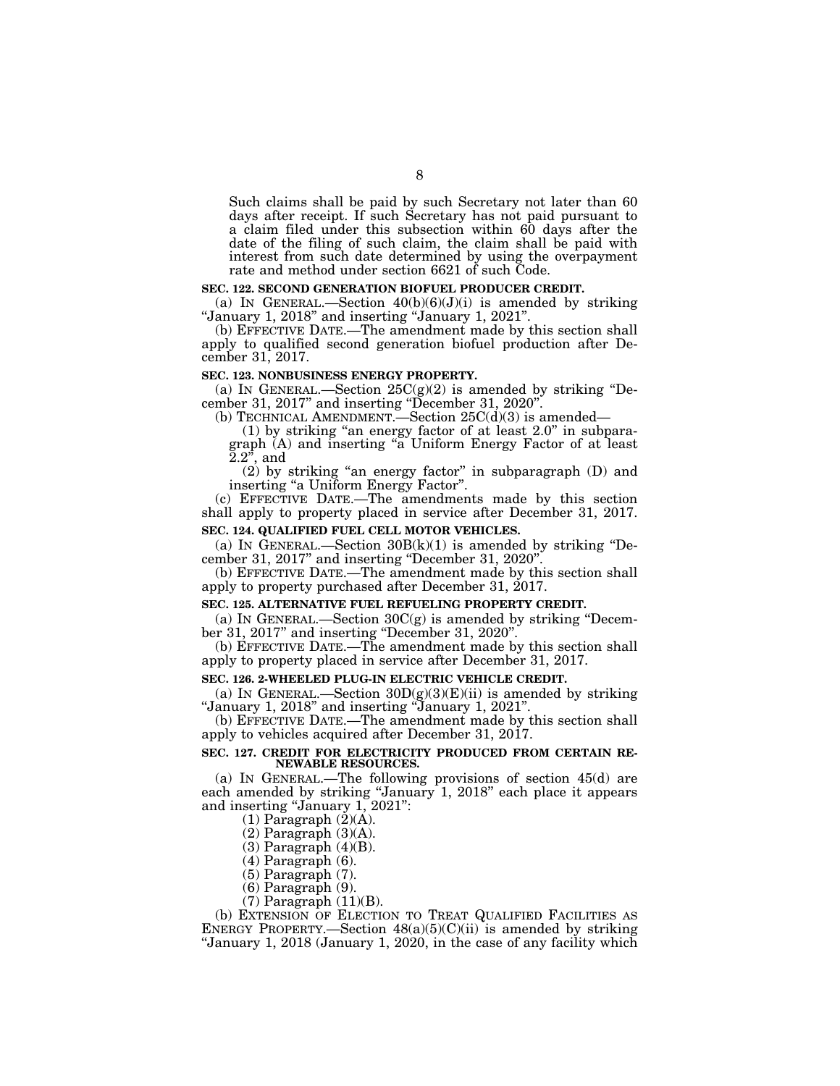Such claims shall be paid by such Secretary not later than 60 days after receipt. If such Secretary has not paid pursuant to a claim filed under this subsection within 60 days after the date of the filing of such claim, the claim shall be paid with interest from such date determined by using the overpayment rate and method under section 6621 of such Code.

### **SEC. 122. SECOND GENERATION BIOFUEL PRODUCER CREDIT.**

(a) IN GENERAL.—Section  $40(b)(6)(J)(i)$  is amended by striking ''January 1, 2018'' and inserting ''January 1, 2021''.

(b) EFFECTIVE DATE.—The amendment made by this section shall apply to qualified second generation biofuel production after December 31, 2017.

### **SEC. 123. NONBUSINESS ENERGY PROPERTY.**

(a) IN GENERAL.—Section  $25C(g)(2)$  is amended by striking "December 31, 2017'' and inserting ''December 31, 2020''.

(b) TECHNICAL AMENDMENT.—Section  $25C(d)(3)$  is amended—

(1) by striking ''an energy factor of at least 2.0'' in subparagraph (A) and inserting "a Uniform Energy Factor of at least  $2.2$ <sup>3</sup>, and

(2) by striking ''an energy factor'' in subparagraph (D) and inserting ''a Uniform Energy Factor''.

(c) EFFECTIVE DATE.—The amendments made by this section shall apply to property placed in service after December 31, 2017.

# **SEC. 124. QUALIFIED FUEL CELL MOTOR VEHICLES.**

(a) IN GENERAL.—Section  $30B(k)(1)$  is amended by striking "December 31, 2017'' and inserting ''December 31, 2020''.

(b) EFFECTIVE DATE.—The amendment made by this section shall apply to property purchased after December 31, 2017.

### **SEC. 125. ALTERNATIVE FUEL REFUELING PROPERTY CREDIT.**

(a) IN GENERAL.—Section  $30C(g)$  is amended by striking "December 31, 2017'' and inserting ''December 31, 2020''.

(b) EFFECTIVE DATE.—The amendment made by this section shall apply to property placed in service after December 31, 2017.

# **SEC. 126. 2-WHEELED PLUG-IN ELECTRIC VEHICLE CREDIT.**

(a) IN GENERAL.—Section  $30D(g)(3)(E)(ii)$  is amended by striking ''January 1, 2018'' and inserting ''January 1, 2021''.

(b) EFFECTIVE DATE.—The amendment made by this section shall apply to vehicles acquired after December 31, 2017.

# **SEC. 127. CREDIT FOR ELECTRICITY PRODUCED FROM CERTAIN RE-NEWABLE RESOURCES.**

(a) IN GENERAL.—The following provisions of section 45(d) are each amended by striking ''January 1, 2018'' each place it appears and inserting "January 1, 2021":

 $(1)$  Paragraph  $(2)(\overline{A})$ .

(2) Paragraph (3)(A).

(3) Paragraph (4)(B).

(4) Paragraph (6).

(5) Paragraph (7).

(6) Paragraph (9).

 $(7)$  Paragraph  $(11)(B)$ .

(b) EXTENSION OF ELECTION TO TREAT QUALIFIED FACILITIES AS ENERGY PROPERTY.—Section  $48(a)(5)(C)(ii)$  is amended by striking "January 1, 2018 (January 1, 2020, in the case of any facility which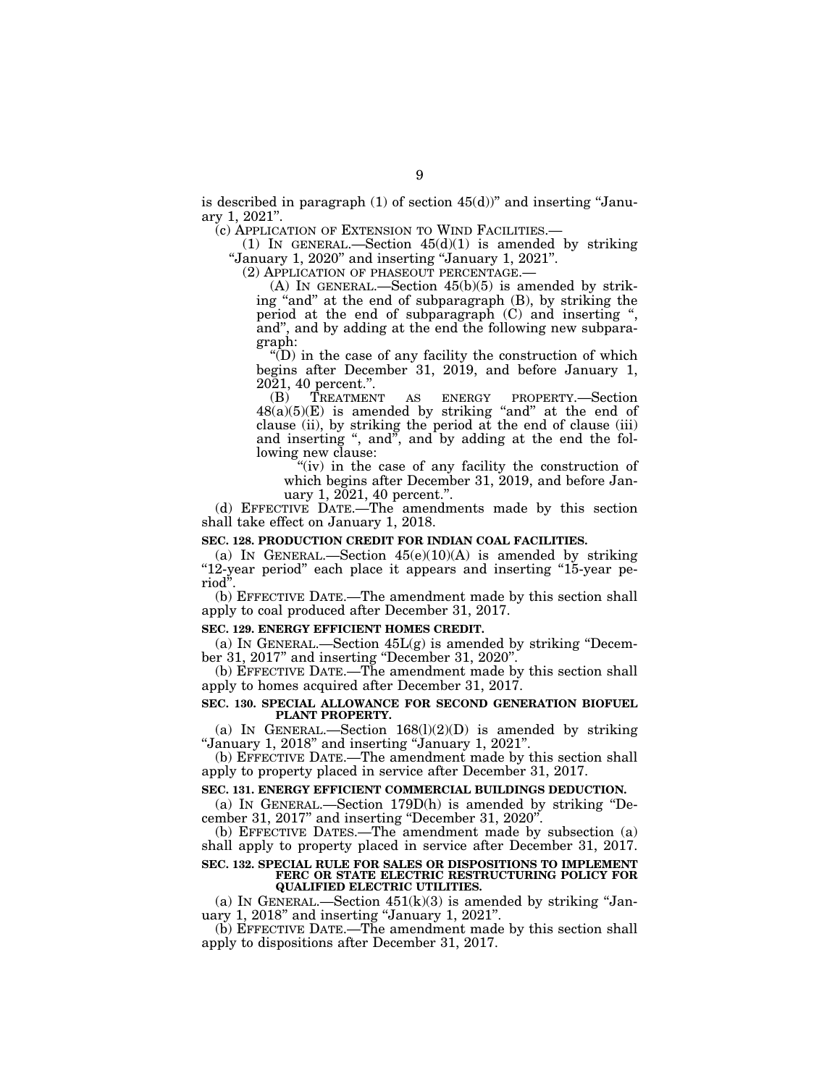is described in paragraph  $(1)$  of section  $45(d)$ " and inserting "January 1, 2021''.

(c) APPLICATION OF EXTENSION TO WIND FACILITIES.—

(1) IN GENERAL.—Section  $45(d)(1)$  is amended by striking ''January 1, 2020'' and inserting ''January 1, 2021''.

(2) APPLICATION OF PHASEOUT PERCENTAGE.—

(A) IN GENERAL.—Section 45(b)(5) is amended by striking "and" at the end of subparagraph (B), by striking the period at the end of subparagraph (C) and inserting '', and'', and by adding at the end the following new subparagraph:

''(D) in the case of any facility the construction of which begins after December 31, 2019, and before January 1,  $20\overline{2}1, 40$  percent.".<br>
(B) TREATMENT

(B) TREATMENT AS ENERGY PROPERTY.—Section  $48(a)(5)(E)$  is amended by striking "and" at the end of clause (ii), by striking the period at the end of clause (iii) and inserting ", and", and by adding at the end the following new clause:

''(iv) in the case of any facility the construction of which begins after December 31, 2019, and before January 1, 2021, 40 percent.''.

(d) EFFECTIVE DATE.—The amendments made by this section shall take effect on January 1, 2018.

# **SEC. 128. PRODUCTION CREDIT FOR INDIAN COAL FACILITIES.**

(a) IN GENERAL.—Section  $45(e)(10)(A)$  is amended by striking "12-year period" each place it appears and inserting "15-year period''.

(b) EFFECTIVE DATE.—The amendment made by this section shall apply to coal produced after December 31, 2017.

### **SEC. 129. ENERGY EFFICIENT HOMES CREDIT.**

(a) IN GENERAL.—Section  $45L(g)$  is amended by striking "December 31, 2017" and inserting "December 31, 2020".

(b) EFFECTIVE DATE.—The amendment made by this section shall apply to homes acquired after December 31, 2017.

# **SEC. 130. SPECIAL ALLOWANCE FOR SECOND GENERATION BIOFUEL PLANT PROPERTY.**

(a) IN GENERAL.—Section  $168(1)(2)(D)$  is amended by striking ''January 1, 2018'' and inserting ''January 1, 2021''.

(b) EFFECTIVE DATE.—The amendment made by this section shall apply to property placed in service after December 31, 2017.

# **SEC. 131. ENERGY EFFICIENT COMMERCIAL BUILDINGS DEDUCTION.**

(a) IN GENERAL.—Section 179D(h) is amended by striking ''December 31, 2017'' and inserting ''December 31, 2020''.

(b) EFFECTIVE DATES.—The amendment made by subsection (a) shall apply to property placed in service after December 31, 2017.

#### **SEC. 132. SPECIAL RULE FOR SALES OR DISPOSITIONS TO IMPLEMENT FERC OR STATE ELECTRIC RESTRUCTURING POLICY FOR QUALIFIED ELECTRIC UTILITIES.**

(a) IN GENERAL.—Section  $451(k)(3)$  is amended by striking "January 1, 2018'' and inserting ''January 1, 2021''.

(b) EFFECTIVE DATE.—The amendment made by this section shall apply to dispositions after December 31, 2017.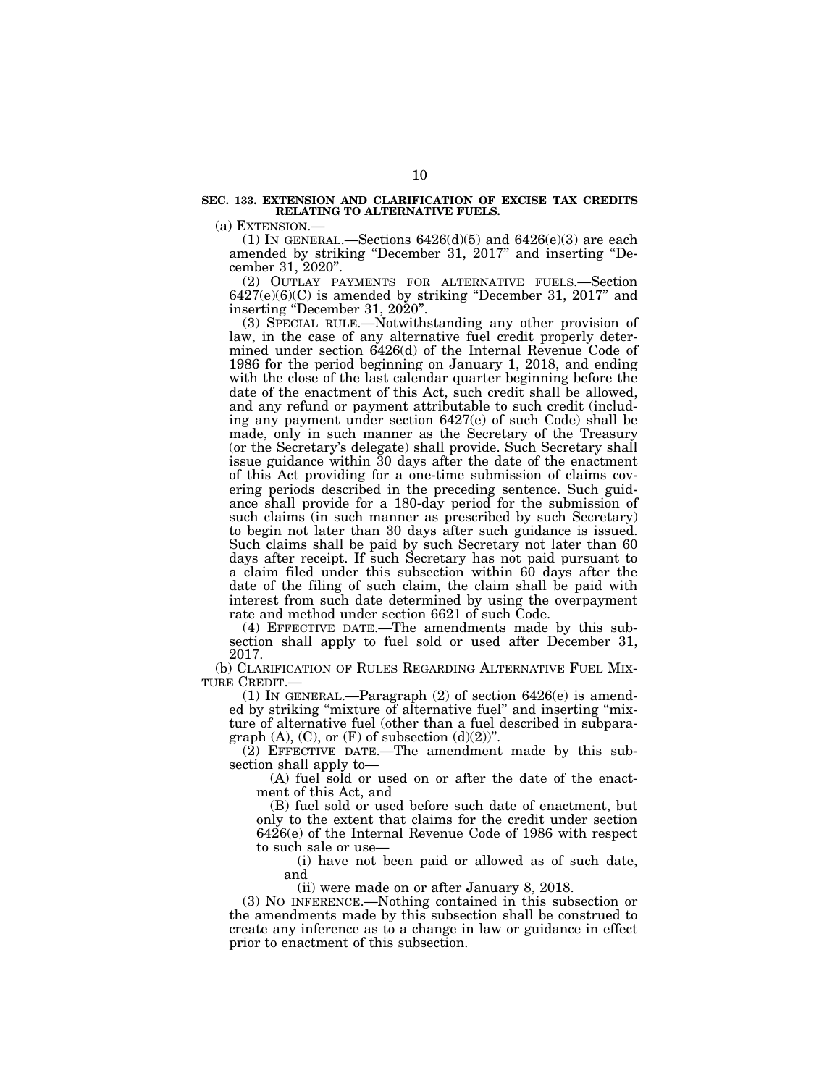### **SEC. 133. EXTENSION AND CLARIFICATION OF EXCISE TAX CREDITS RELATING TO ALTERNATIVE FUELS.**

(a) EXTENSION.—

(1) IN GENERAL.—Sections  $6426(d)(5)$  and  $6426(e)(3)$  are each amended by striking "December 31, 2017" and inserting "December 31, 2020''.

(2) OUTLAY PAYMENTS FOR ALTERNATIVE FUELS.—Section  $6427(e)(6)(C)$  is amended by striking "December 31, 2017" and inserting "December 31, 2020".

(3) SPECIAL RULE.—Notwithstanding any other provision of law, in the case of any alternative fuel credit properly determined under section 6426(d) of the Internal Revenue Code of 1986 for the period beginning on January 1, 2018, and ending with the close of the last calendar quarter beginning before the date of the enactment of this Act, such credit shall be allowed, and any refund or payment attributable to such credit (including any payment under section 6427(e) of such Code) shall be made, only in such manner as the Secretary of the Treasury (or the Secretary's delegate) shall provide. Such Secretary shall issue guidance within 30 days after the date of the enactment of this Act providing for a one-time submission of claims covering periods described in the preceding sentence. Such guidance shall provide for a 180-day period for the submission of such claims (in such manner as prescribed by such Secretary) to begin not later than 30 days after such guidance is issued. Such claims shall be paid by such Secretary not later than 60 days after receipt. If such Secretary has not paid pursuant to a claim filed under this subsection within 60 days after the date of the filing of such claim, the claim shall be paid with interest from such date determined by using the overpayment rate and method under section 6621 of such Code.

(4) EFFECTIVE DATE.—The amendments made by this subsection shall apply to fuel sold or used after December 31, 2017.

(b) CLARIFICATION OF RULES REGARDING ALTERNATIVE FUEL MIX-TURE CREDIT.—

(1) IN GENERAL.—Paragraph (2) of section 6426(e) is amended by striking "mixture of alternative fuel" and inserting "mixture of alternative fuel (other than a fuel described in subparagraph  $(A)$ ,  $(C)$ , or  $(F)$  of subsection  $(d)(2)$ ".

(2) EFFECTIVE DATE.—The amendment made by this subsection shall apply to—

(A) fuel sold or used on or after the date of the enactment of this Act, and

(B) fuel sold or used before such date of enactment, but only to the extent that claims for the credit under section 6426(e) of the Internal Revenue Code of 1986 with respect to such sale or use—

(i) have not been paid or allowed as of such date, and

(ii) were made on or after January 8, 2018.

(3) NO INFERENCE.—Nothing contained in this subsection or the amendments made by this subsection shall be construed to create any inference as to a change in law or guidance in effect prior to enactment of this subsection.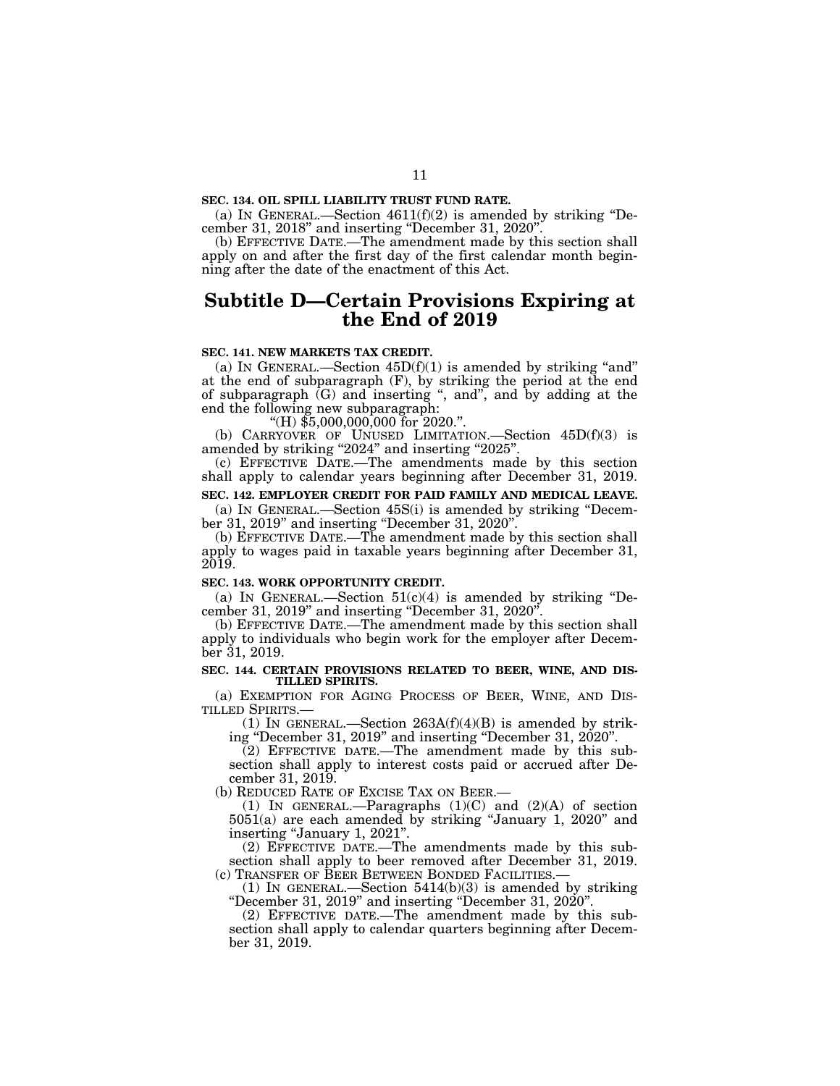# **SEC. 134. OIL SPILL LIABILITY TRUST FUND RATE.**

(a) IN GENERAL.—Section  $4611(f)(2)$  is amended by striking "December 31, 2018'' and inserting ''December 31, 2020''.

(b) EFFECTIVE DATE.—The amendment made by this section shall apply on and after the first day of the first calendar month beginning after the date of the enactment of this Act.

# **Subtitle D—Certain Provisions Expiring at the End of 2019**

# **SEC. 141. NEW MARKETS TAX CREDIT.**

(a) IN GENERAL.—Section  $45D(f)(1)$  is amended by striking "and" at the end of subparagraph (F), by striking the period at the end of subparagraph (G) and inserting '', and'', and by adding at the end the following new subparagraph:<br>"(H) \$5,000,000,000 for 2020.".

(b) CARRYOVER OF UNUSED LIMITATION. Section  $45D(f)(3)$  is amended by striking "2024" and inserting "2025".

(c) EFFECTIVE DATE.—The amendments made by this section shall apply to calendar years beginning after December 31, 2019.

# **SEC. 142. EMPLOYER CREDIT FOR PAID FAMILY AND MEDICAL LEAVE.**

(a) IN GENERAL.—Section 45S(i) is amended by striking ''December 31, 2019'' and inserting ''December 31, 2020''.

(b) EFFECTIVE DATE.—The amendment made by this section shall apply to wages paid in taxable years beginning after December 31, 2019.

## **SEC. 143. WORK OPPORTUNITY CREDIT.**

(a) IN GENERAL.—Section  $51(c)(4)$  is amended by striking "December 31, 2019'' and inserting ''December 31, 2020''.

(b) EFFECTIVE DATE.—The amendment made by this section shall apply to individuals who begin work for the employer after December 31, 2019.

## **SEC. 144. CERTAIN PROVISIONS RELATED TO BEER, WINE, AND DIS-TILLED SPIRITS.**

(a) EXEMPTION FOR AGING PROCESS OF BEER, WINE, AND DISTILLED SPIRITS.—

(1) IN GENERAL.—Section  $263A(f)(4)(B)$  is amended by striking ''December 31, 2019'' and inserting ''December 31, 2020''.

(2) EFFECTIVE DATE.—The amendment made by this subsection shall apply to interest costs paid or accrued after December 31, 2019.

(b) REDUCED RATE OF EXCISE TAX ON BEER.—

(1) IN GENERAL.—Paragraphs (1)(C) and (2)(A) of section 5051(a) are each amended by striking ''January 1, 2020'' and inserting "January 1, 2021".

(2) EFFECTIVE DATE.—The amendments made by this subsection shall apply to beer removed after December 31, 2019.

(c) TRANSFER OF BEER BETWEEN BONDED FACILITIES.—<br>(1) IN GENERAL.—Section 5414(b)(3) is amended by striking "December 31, 2019" and inserting "December 31, 2020".

(2) EFFECTIVE DATE.—The amendment made by this subsection shall apply to calendar quarters beginning after December 31, 2019.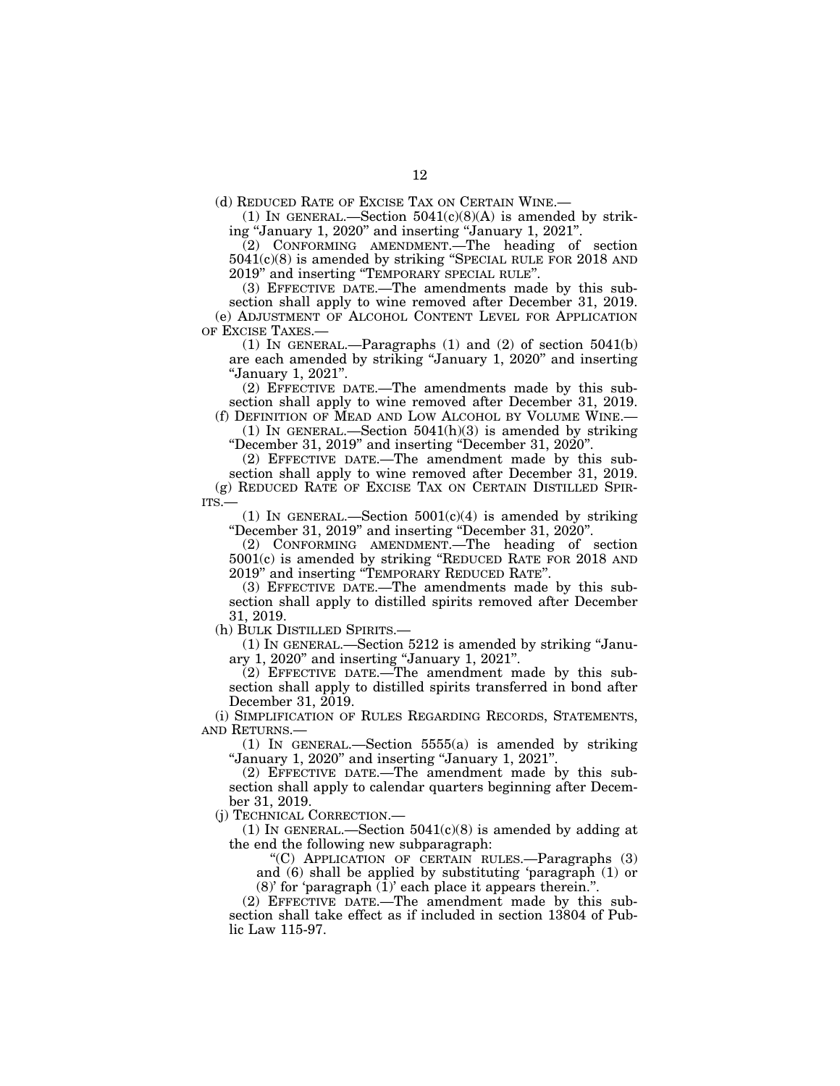(d) REDUCED RATE OF EXCISE TAX ON CERTAIN WINE.—

(1) IN GENERAL.—Section  $5041(c)(8)(A)$  is amended by striking ''January 1, 2020'' and inserting ''January 1, 2021''.

(2) CONFORMING AMENDMENT.—The heading of section 5041(c)(8) is amended by striking ''SPECIAL RULE FOR 2018 AND 2019'' and inserting ''TEMPORARY SPECIAL RULE''.

(3) EFFECTIVE DATE.—The amendments made by this subsection shall apply to wine removed after December 31, 2019. (e) ADJUSTMENT OF ALCOHOL CONTENT LEVEL FOR APPLICATION OF EXCISE TAXES.—

(1) IN GENERAL.—Paragraphs (1) and (2) of section 5041(b) are each amended by striking ''January 1, 2020'' and inserting ''January 1, 2021''.

(2) EFFECTIVE DATE.—The amendments made by this subsection shall apply to wine removed after December 31, 2019. (f) DEFINITION OF MEAD AND LOW ALCOHOL BY VOLUME WINE.—

(1) IN GENERAL.—Section  $5041(h)(3)$  is amended by striking ''December 31, 2019'' and inserting ''December 31, 2020''.

(2) EFFECTIVE DATE.—The amendment made by this sub-

section shall apply to wine removed after December 31, 2019. (g) REDUCED RATE OF EXCISE TAX ON CERTAIN DISTILLED SPIR-ITS.—

(1) IN GENERAL.—Section  $5001(c)(4)$  is amended by striking ''December 31, 2019'' and inserting ''December 31, 2020''.

(2) CONFORMING AMENDMENT.—The heading of section 5001(c) is amended by striking ''REDUCED RATE FOR 2018 AND 2019'' and inserting ''TEMPORARY REDUCED RATE''.

(3) EFFECTIVE DATE.—The amendments made by this subsection shall apply to distilled spirits removed after December 31, 2019.

(h) BULK DISTILLED SPIRITS.—

(1) IN GENERAL.—Section 5212 is amended by striking ''January 1, 2020'' and inserting ''January 1, 2021''.

(2) EFFECTIVE DATE.—The amendment made by this subsection shall apply to distilled spirits transferred in bond after December 31, 2019.

(i) SIMPLIFICATION OF RULES REGARDING RECORDS, STATEMENTS, AND RETURNS.—

(1) IN GENERAL.—Section 5555(a) is amended by striking ''January 1, 2020'' and inserting ''January 1, 2021''.

(2) EFFECTIVE DATE.—The amendment made by this subsection shall apply to calendar quarters beginning after December 31, 2019.

(j) TECHNICAL CORRECTION.—

(1) IN GENERAL.—Section  $5041(c)(8)$  is amended by adding at the end the following new subparagraph:

''(C) APPLICATION OF CERTAIN RULES.—Paragraphs (3) and (6) shall be applied by substituting 'paragraph (1) or (8)' for 'paragraph (1)' each place it appears therein.''.

(2) EFFECTIVE DATE.—The amendment made by this subsection shall take effect as if included in section 13804 of Public Law 115-97.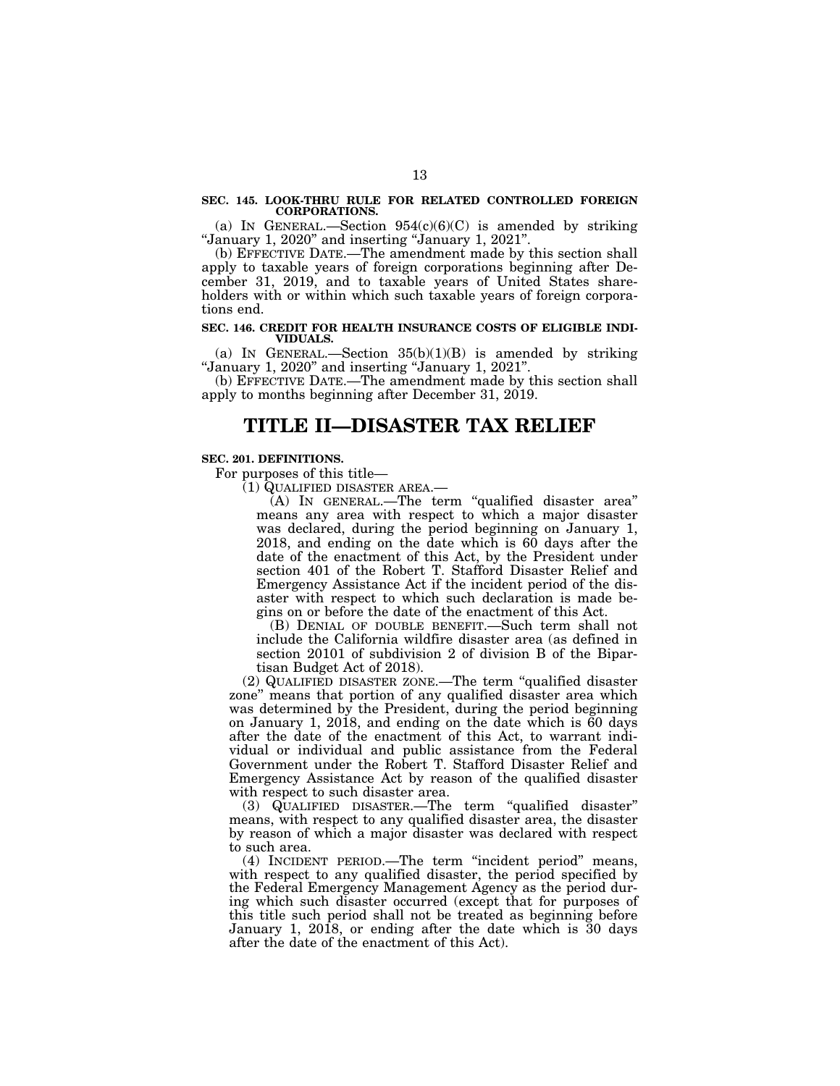### **SEC. 145. LOOK-THRU RULE FOR RELATED CONTROLLED FOREIGN CORPORATIONS.**

(a) IN GENERAL.—Section  $954(c)(6)(C)$  is amended by striking ''January 1, 2020'' and inserting ''January 1, 2021''.

(b) EFFECTIVE DATE.—The amendment made by this section shall apply to taxable years of foreign corporations beginning after December 31, 2019, and to taxable years of United States shareholders with or within which such taxable years of foreign corporations end.

### **SEC. 146. CREDIT FOR HEALTH INSURANCE COSTS OF ELIGIBLE INDI-VIDUALS.**

(a) IN GENERAL.—Section  $35(b)(1)(B)$  is amended by striking ''January 1, 2020'' and inserting ''January 1, 2021''.

(b) EFFECTIVE DATE.—The amendment made by this section shall apply to months beginning after December 31, 2019.

# **TITLE II—DISASTER TAX RELIEF**

# **SEC. 201. DEFINITIONS.**

For purposes of this title—

(1) QUALIFIED DISASTER AREA.—

(A) IN GENERAL.—The term ''qualified disaster area'' means any area with respect to which a major disaster was declared, during the period beginning on January 1, 2018, and ending on the date which is 60 days after the date of the enactment of this Act, by the President under section 401 of the Robert T. Stafford Disaster Relief and Emergency Assistance Act if the incident period of the disaster with respect to which such declaration is made begins on or before the date of the enactment of this Act.

(B) DENIAL OF DOUBLE BENEFIT.—Such term shall not include the California wildfire disaster area (as defined in section 20101 of subdivision 2 of division B of the Bipartisan Budget Act of 2018).

(2) QUALIFIED DISASTER ZONE.—The term ''qualified disaster zone'' means that portion of any qualified disaster area which was determined by the President, during the period beginning on January 1, 2018, and ending on the date which is  $\bar{60}$  days after the date of the enactment of this Act, to warrant individual or individual and public assistance from the Federal Government under the Robert T. Stafford Disaster Relief and Emergency Assistance Act by reason of the qualified disaster with respect to such disaster area.

(3) QUALIFIED DISASTER.—The term ''qualified disaster'' means, with respect to any qualified disaster area, the disaster by reason of which a major disaster was declared with respect to such area.

(4) INCIDENT PERIOD.—The term ''incident period'' means, with respect to any qualified disaster, the period specified by the Federal Emergency Management Agency as the period during which such disaster occurred (except that for purposes of this title such period shall not be treated as beginning before January 1, 2018, or ending after the date which is 30 days after the date of the enactment of this Act).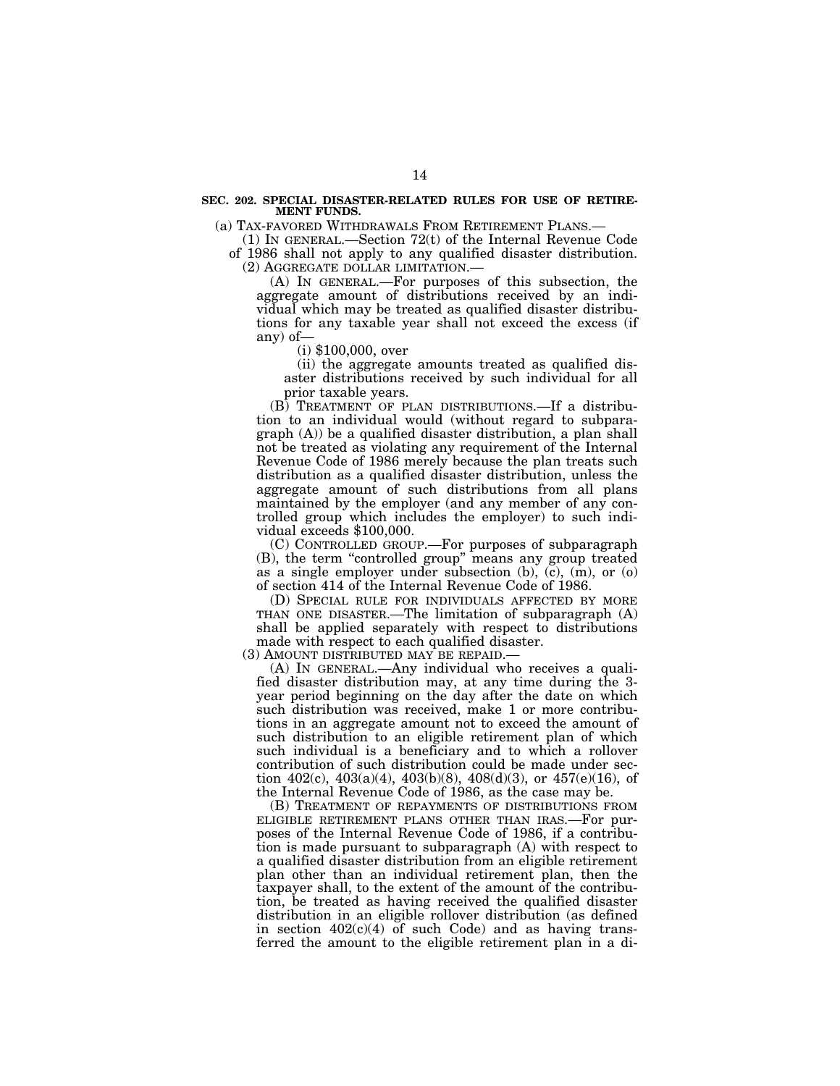## **SEC. 202. SPECIAL DISASTER-RELATED RULES FOR USE OF RETIRE-MENT FUNDS.**

(a) TAX-FAVORED WITHDRAWALS FROM RETIREMENT PLANS.—

(1) IN GENERAL.—Section 72(t) of the Internal Revenue Code of 1986 shall not apply to any qualified disaster distribution. (2) AGGREGATE DOLLAR LIMITATION.—

(A) IN GENERAL.—For purposes of this subsection, the aggregate amount of distributions received by an individual which may be treated as qualified disaster distributions for any taxable year shall not exceed the excess (if any) of—

(i) \$100,000, over

(ii) the aggregate amounts treated as qualified disaster distributions received by such individual for all prior taxable years.

(B) TREATMENT OF PLAN DISTRIBUTIONS.—If a distribution to an individual would (without regard to subparagraph (A)) be a qualified disaster distribution, a plan shall not be treated as violating any requirement of the Internal Revenue Code of 1986 merely because the plan treats such distribution as a qualified disaster distribution, unless the aggregate amount of such distributions from all plans maintained by the employer (and any member of any controlled group which includes the employer) to such individual exceeds \$100,000.

(C) CONTROLLED GROUP.—For purposes of subparagraph (B), the term ''controlled group'' means any group treated as a single employer under subsection (b), (c), (m), or (o) of section 414 of the Internal Revenue Code of 1986.

(D) SPECIAL RULE FOR INDIVIDUALS AFFECTED BY MORE THAN ONE DISASTER.—The limitation of subparagraph (A) shall be applied separately with respect to distributions made with respect to each qualified disaster.

(3) AMOUNT DISTRIBUTED MAY BE REPAID.—

(A) IN GENERAL.—Any individual who receives a qualified disaster distribution may, at any time during the 3 year period beginning on the day after the date on which such distribution was received, make 1 or more contributions in an aggregate amount not to exceed the amount of such distribution to an eligible retirement plan of which such individual is a beneficiary and to which a rollover contribution of such distribution could be made under section  $402(c)$ ,  $403(a)(4)$ ,  $403(b)(8)$ ,  $408(d)(3)$ , or  $457(e)(16)$ , of the Internal Revenue Code of 1986, as the case may be.

(B) TREATMENT OF REPAYMENTS OF DISTRIBUTIONS FROM ELIGIBLE RETIREMENT PLANS OTHER THAN IRAS.—For purposes of the Internal Revenue Code of 1986, if a contribution is made pursuant to subparagraph (A) with respect to a qualified disaster distribution from an eligible retirement plan other than an individual retirement plan, then the taxpayer shall, to the extent of the amount of the contribution, be treated as having received the qualified disaster distribution in an eligible rollover distribution (as defined in section  $402(c)(4)$  of such Code) and as having transferred the amount to the eligible retirement plan in a di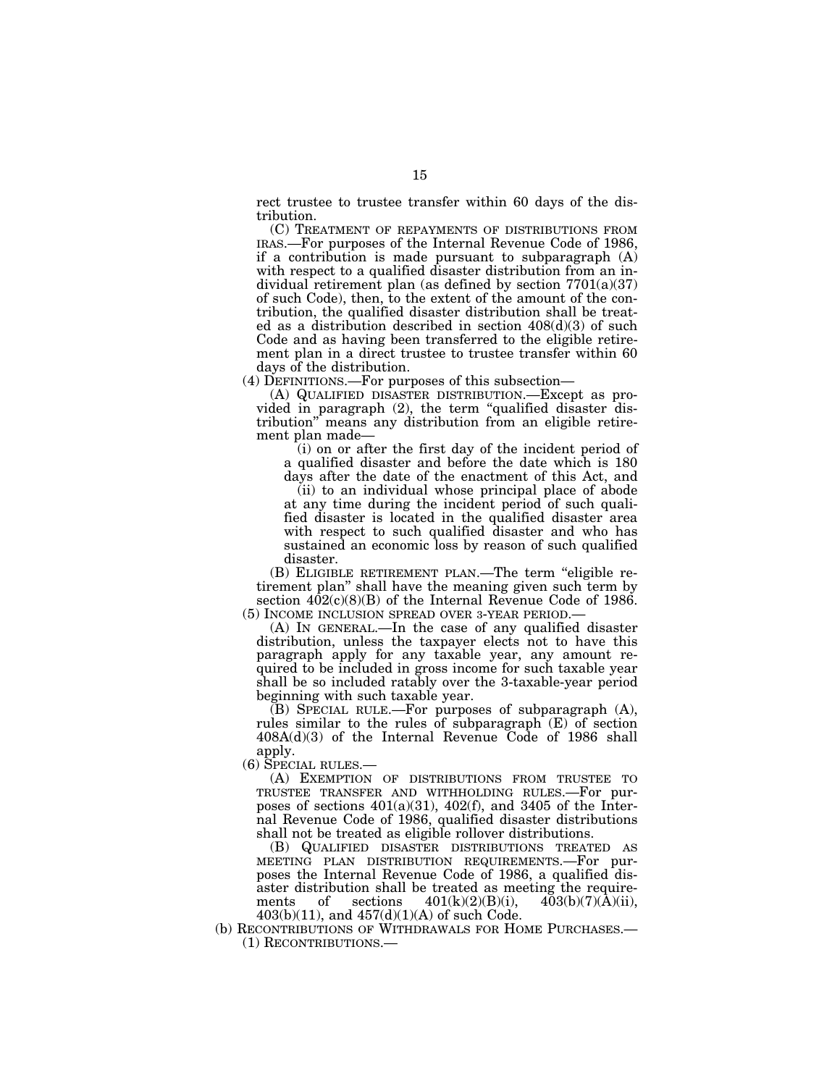rect trustee to trustee transfer within 60 days of the distribution.

(C) TREATMENT OF REPAYMENTS OF DISTRIBUTIONS FROM IRAS.—For purposes of the Internal Revenue Code of 1986, if a contribution is made pursuant to subparagraph (A) with respect to a qualified disaster distribution from an individual retirement plan (as defined by section  $7701(a)(37)$ of such Code), then, to the extent of the amount of the contribution, the qualified disaster distribution shall be treated as a distribution described in section 408(d)(3) of such Code and as having been transferred to the eligible retirement plan in a direct trustee to trustee transfer within 60 days of the distribution.

(4) DEFINITIONS.—For purposes of this subsection—

(A) QUALIFIED DISASTER DISTRIBUTION.—Except as provided in paragraph (2), the term "qualified disaster distribution'' means any distribution from an eligible retirement plan made—

(i) on or after the first day of the incident period of a qualified disaster and before the date which is 180 days after the date of the enactment of this Act, and

(ii) to an individual whose principal place of abode at any time during the incident period of such qualified disaster is located in the qualified disaster area with respect to such qualified disaster and who has sustained an economic loss by reason of such qualified disaster.

(B) ELIGIBLE RETIREMENT PLAN.—The term ''eligible retirement plan'' shall have the meaning given such term by section 402(c)(8)(B) of the Internal Revenue Code of 1986.

(5) INCOME INCLUSION SPREAD OVER 3-YEAR PERIOD.— (A) IN GENERAL.—In the case of any qualified disaster distribution, unless the taxpayer elects not to have this paragraph apply for any taxable year, any amount required to be included in gross income for such taxable year shall be so included ratably over the 3-taxable-year period beginning with such taxable year.

(B) SPECIAL RULE.—For purposes of subparagraph (A), rules similar to the rules of subparagraph (E) of section 408A(d)(3) of the Internal Revenue Code of 1986 shall apply.

(6) SPECIAL RULES.—

(A) EXEMPTION OF DISTRIBUTIONS FROM TRUSTEE TO TRUSTEE TRANSFER AND WITHHOLDING RULES.—For purposes of sections  $401(a)(31)$ ,  $402(f)$ , and  $3405$  of the Internal Revenue Code of 1986, qualified disaster distributions shall not be treated as eligible rollover distributions.

(B) QUALIFIED DISASTER DISTRIBUTIONS TREATED AS MEETING PLAN DISTRIBUTION REQUIREMENTS.—For purposes the Internal Revenue Code of 1986, a qualified disaster distribution shall be treated as meeting the requirements of sections  $401(k)(2)(B)(i)$ ,  $403(b)(7)(\text{\AA})(ii)$ ,  $403(b)(11)$ , and  $457(d)(1)(A)$  of such Code.

(b) RECONTRIBUTIONS OF WITHDRAWALS FOR HOME PURCHASES.— (1) RECONTRIBUTIONS.—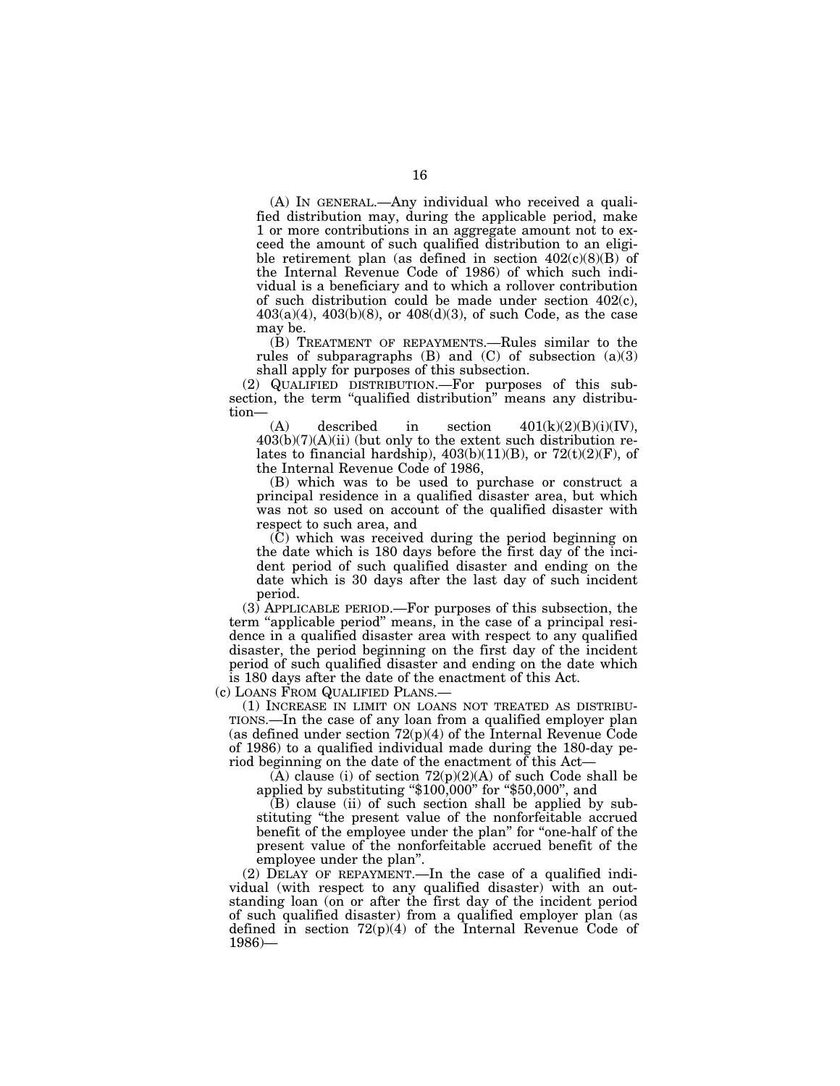(A) IN GENERAL.—Any individual who received a qualified distribution may, during the applicable period, make 1 or more contributions in an aggregate amount not to exceed the amount of such qualified distribution to an eligible retirement plan (as defined in section 402(c)(8)(B) of the Internal Revenue Code of 1986) of which such individual is a beneficiary and to which a rollover contribution of such distribution could be made under section 402(c),  $403(a)(4)$ ,  $403(b)(8)$ , or  $408(d)(3)$ , of such Code, as the case may be.

(B) TREATMENT OF REPAYMENTS.—Rules similar to the rules of subparagraphs  $(B)$  and  $(C)$  of subsection  $(a)(3)$ shall apply for purposes of this subsection.

(2) QUALIFIED DISTRIBUTION.—For purposes of this subsection, the term "qualified distribution" means any distribution—

(A) described in section  $401(k)(2)(B)(i)(IV)$ ,  $403(b)(7)(A)(ii)$  (but only to the extent such distribution relates to financial hardship),  $403(b)(11)(B)$ , or  $72(t)(2)(F)$ , of the Internal Revenue Code of 1986,

(B) which was to be used to purchase or construct a principal residence in a qualified disaster area, but which was not so used on account of the qualified disaster with respect to such area, and

(C) which was received during the period beginning on the date which is 180 days before the first day of the incident period of such qualified disaster and ending on the date which is 30 days after the last day of such incident period.

(3) APPLICABLE PERIOD.—For purposes of this subsection, the term ''applicable period'' means, in the case of a principal residence in a qualified disaster area with respect to any qualified disaster, the period beginning on the first day of the incident period of such qualified disaster and ending on the date which is 180 days after the date of the enactment of this Act.

(c) LOANS FROM QUALIFIED PLANS.—

(1) INCREASE IN LIMIT ON LOANS NOT TREATED AS DISTRIBU-TIONS.—In the case of any loan from a qualified employer plan (as defined under section  $72(p)(4)$  of the Internal Revenue Code of 1986) to a qualified individual made during the 180-day period beginning on the date of the enactment of this Act—

 $(A)$  clause (i) of section  $72(p)(2)(A)$  of such Code shall be applied by substituting "\$100,000" for "\$50,000", and

(B) clause (ii) of such section shall be applied by substituting ''the present value of the nonforfeitable accrued benefit of the employee under the plan" for "one-half of the present value of the nonforfeitable accrued benefit of the employee under the plan''.

(2) DELAY OF REPAYMENT.—In the case of a qualified individual (with respect to any qualified disaster) with an outstanding loan (on or after the first day of the incident period of such qualified disaster) from a qualified employer plan (as defined in section  $72(p)(4)$  of the Internal Revenue Code of 1986)—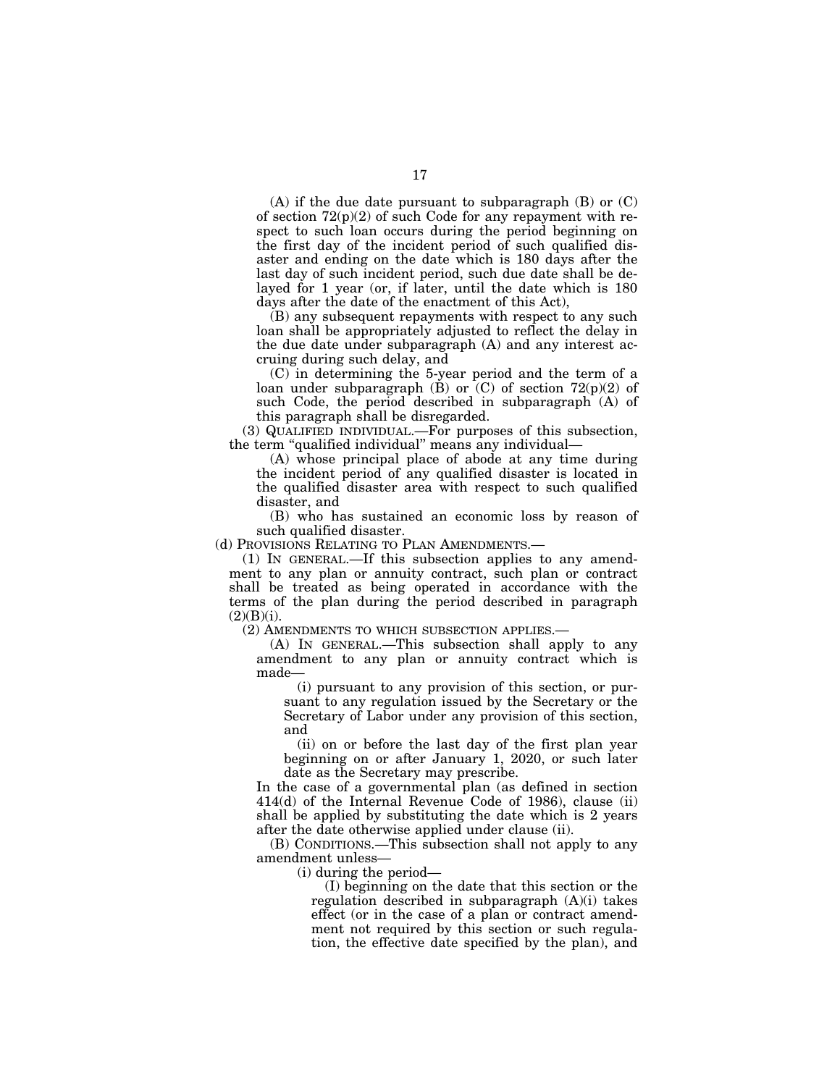(A) if the due date pursuant to subparagraph (B) or (C) of section  $72(p)(2)$  of such Code for any repayment with respect to such loan occurs during the period beginning on the first day of the incident period of such qualified disaster and ending on the date which is 180 days after the last day of such incident period, such due date shall be delayed for 1 year (or, if later, until the date which is 180 days after the date of the enactment of this Act),

(B) any subsequent repayments with respect to any such loan shall be appropriately adjusted to reflect the delay in the due date under subparagraph (A) and any interest accruing during such delay, and

(C) in determining the 5-year period and the term of a loan under subparagraph (B) or  $(C)$  of section 72(p)(2) of such Code, the period described in subparagraph (A) of this paragraph shall be disregarded.

(3) QUALIFIED INDIVIDUAL.—For purposes of this subsection, the term "qualified individual" means any individual-

(A) whose principal place of abode at any time during the incident period of any qualified disaster is located in the qualified disaster area with respect to such qualified disaster, and

(B) who has sustained an economic loss by reason of such qualified disaster.

(d) PROVISIONS RELATING TO PLAN AMENDMENTS.—

(1) IN GENERAL.—If this subsection applies to any amendment to any plan or annuity contract, such plan or contract shall be treated as being operated in accordance with the terms of the plan during the period described in paragraph  $(2)(B)(i)$ .

(2) AMENDMENTS TO WHICH SUBSECTION APPLIES.—

(A) IN GENERAL.—This subsection shall apply to any amendment to any plan or annuity contract which is made—

(i) pursuant to any provision of this section, or pursuant to any regulation issued by the Secretary or the Secretary of Labor under any provision of this section, and

(ii) on or before the last day of the first plan year beginning on or after January 1, 2020, or such later date as the Secretary may prescribe.

In the case of a governmental plan (as defined in section 414(d) of the Internal Revenue Code of 1986), clause (ii) shall be applied by substituting the date which is 2 years after the date otherwise applied under clause (ii).

(B) CONDITIONS.—This subsection shall not apply to any amendment unless—

(i) during the period—

(I) beginning on the date that this section or the regulation described in subparagraph (A)(i) takes effect (or in the case of a plan or contract amendment not required by this section or such regulation, the effective date specified by the plan), and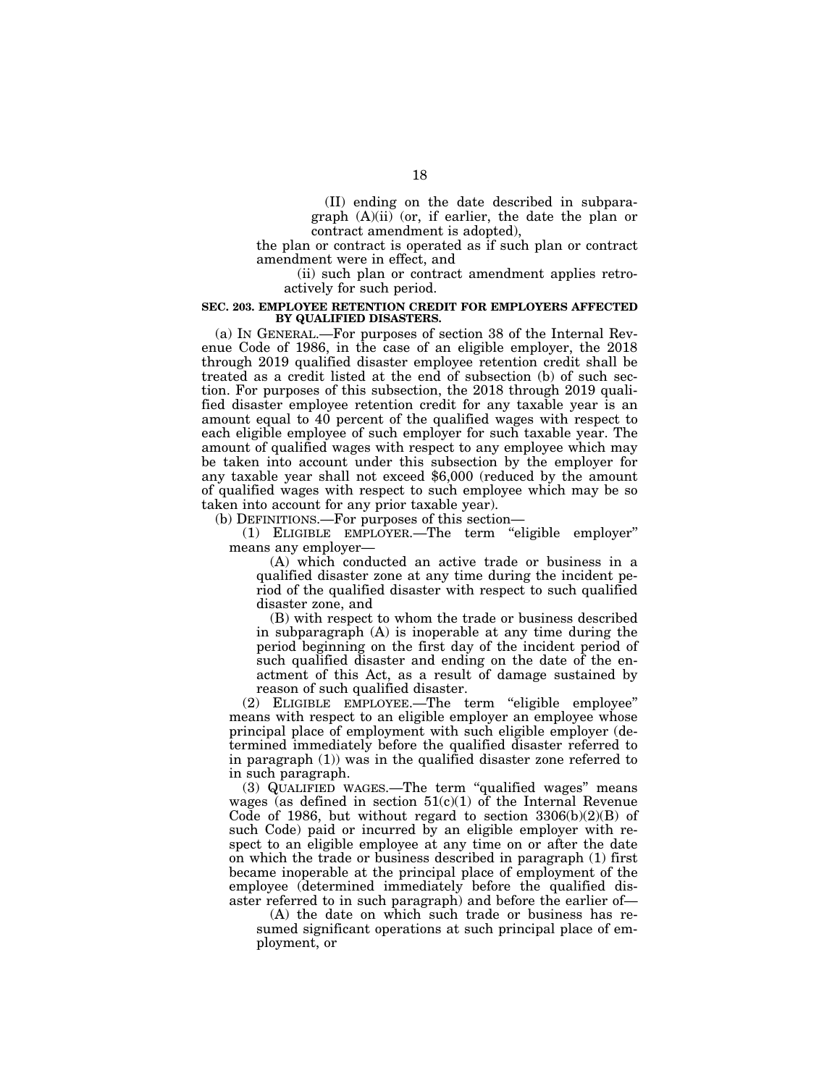(II) ending on the date described in subparagraph (A)(ii) (or, if earlier, the date the plan or contract amendment is adopted),

the plan or contract is operated as if such plan or contract amendment were in effect, and

(ii) such plan or contract amendment applies retroactively for such period.

# **SEC. 203. EMPLOYEE RETENTION CREDIT FOR EMPLOYERS AFFECTED BY QUALIFIED DISASTERS.**

(a) IN GENERAL.—For purposes of section 38 of the Internal Revenue Code of 1986, in the case of an eligible employer, the 2018 through 2019 qualified disaster employee retention credit shall be treated as a credit listed at the end of subsection (b) of such section. For purposes of this subsection, the 2018 through 2019 qualified disaster employee retention credit for any taxable year is an amount equal to 40 percent of the qualified wages with respect to each eligible employee of such employer for such taxable year. The amount of qualified wages with respect to any employee which may be taken into account under this subsection by the employer for any taxable year shall not exceed \$6,000 (reduced by the amount of qualified wages with respect to such employee which may be so taken into account for any prior taxable year).

(b) DEFINITIONS.—For purposes of this section—

(1) ELIGIBLE EMPLOYER.—The term ''eligible employer'' means any employer—

(A) which conducted an active trade or business in a qualified disaster zone at any time during the incident period of the qualified disaster with respect to such qualified disaster zone, and

(B) with respect to whom the trade or business described in subparagraph (A) is inoperable at any time during the period beginning on the first day of the incident period of such qualified disaster and ending on the date of the enactment of this Act, as a result of damage sustained by reason of such qualified disaster.

(2) ELIGIBLE EMPLOYEE.—The term ''eligible employee'' means with respect to an eligible employer an employee whose principal place of employment with such eligible employer (determined immediately before the qualified disaster referred to in paragraph (1)) was in the qualified disaster zone referred to in such paragraph.

(3) QUALIFIED WAGES.—The term ''qualified wages'' means wages (as defined in section  $51(c)(1)$  of the Internal Revenue Code of 1986, but without regard to section  $3306(b)(2)(B)$  of such Code) paid or incurred by an eligible employer with respect to an eligible employee at any time on or after the date on which the trade or business described in paragraph (1) first became inoperable at the principal place of employment of the employee (determined immediately before the qualified disaster referred to in such paragraph) and before the earlier of—

(A) the date on which such trade or business has resumed significant operations at such principal place of employment, or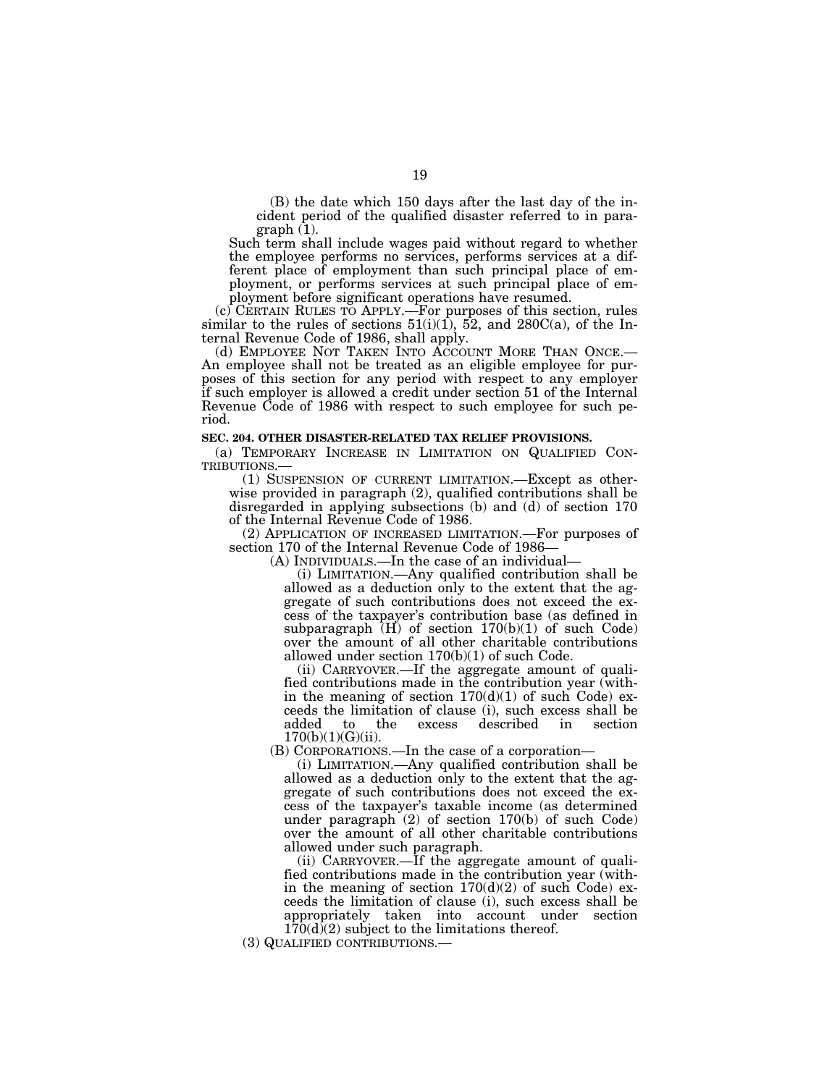(B) the date which 150 days after the last day of the incident period of the qualified disaster referred to in paragraph (1).

Such term shall include wages paid without regard to whether the employee performs no services, performs services at a different place of employment than such principal place of employment, or performs services at such principal place of employment before significant operations have resumed.

(c) CERTAIN RULES TO APPLY.—For purposes of this section, rules similar to the rules of sections  $51(i)(1)$ ,  $52$ , and  $280C(a)$ , of the Internal Revenue Code of 1986, shall apply.

(d) EMPLOYEE NOT TAKEN INTO ACCOUNT MORE THAN ONCE.— An employee shall not be treated as an eligible employee for purposes of this section for any period with respect to any employer if such employer is allowed a credit under section 51 of the Internal Revenue Code of 1986 with respect to such employee for such period.

# **SEC. 204. OTHER DISASTER-RELATED TAX RELIEF PROVISIONS.**

(a) TEMPORARY INCREASE IN LIMITATION ON QUALIFIED CONTRIBUTIONS.—<br>
(1) SUSPENSION OF CURRENT LIMITATION.—Except as other-

wise provided in paragraph (2), qualified contributions shall be disregarded in applying subsections (b) and (d) of section 170 of the Internal Revenue Code of 1986.

(2) APPLICATION OF INCREASED LIMITATION.—For purposes of section 170 of the Internal Revenue Code of 1986—

(A) INDIVIDUALS.—In the case of an individual—

(i) LIMITATION.—Any qualified contribution shall be allowed as a deduction only to the extent that the aggregate of such contributions does not exceed the excess of the taxpayer's contribution base (as defined in subparagraph  $\overline{H}$  of section 170(b)(1) of such Code) over the amount of all other charitable contributions allowed under section 170(b)(1) of such Code.

(ii) CARRYOVER.—If the aggregate amount of qualified contributions made in the contribution year (within the meaning of section  $170(d)(1)$  of such Code) exceeds the limitation of clause (i), such excess shall be added to the excess described in section  $170(b)(1)(G)(ii)$ .

(B) CORPORATIONS.—In the case of a corporation—

(i) LIMITATION.—Any qualified contribution shall be allowed as a deduction only to the extent that the aggregate of such contributions does not exceed the excess of the taxpayer's taxable income (as determined under paragraph (2) of section 170(b) of such Code) over the amount of all other charitable contributions allowed under such paragraph.

(ii) CARRYOVER.—If the aggregate amount of qualified contributions made in the contribution year (within the meaning of section  $170(d)(2)$  of such Code) exceeds the limitation of clause (i), such excess shall be appropriately taken into account under section 170(d)(2) subject to the limitations thereof.

(3) QUALIFIED CONTRIBUTIONS.—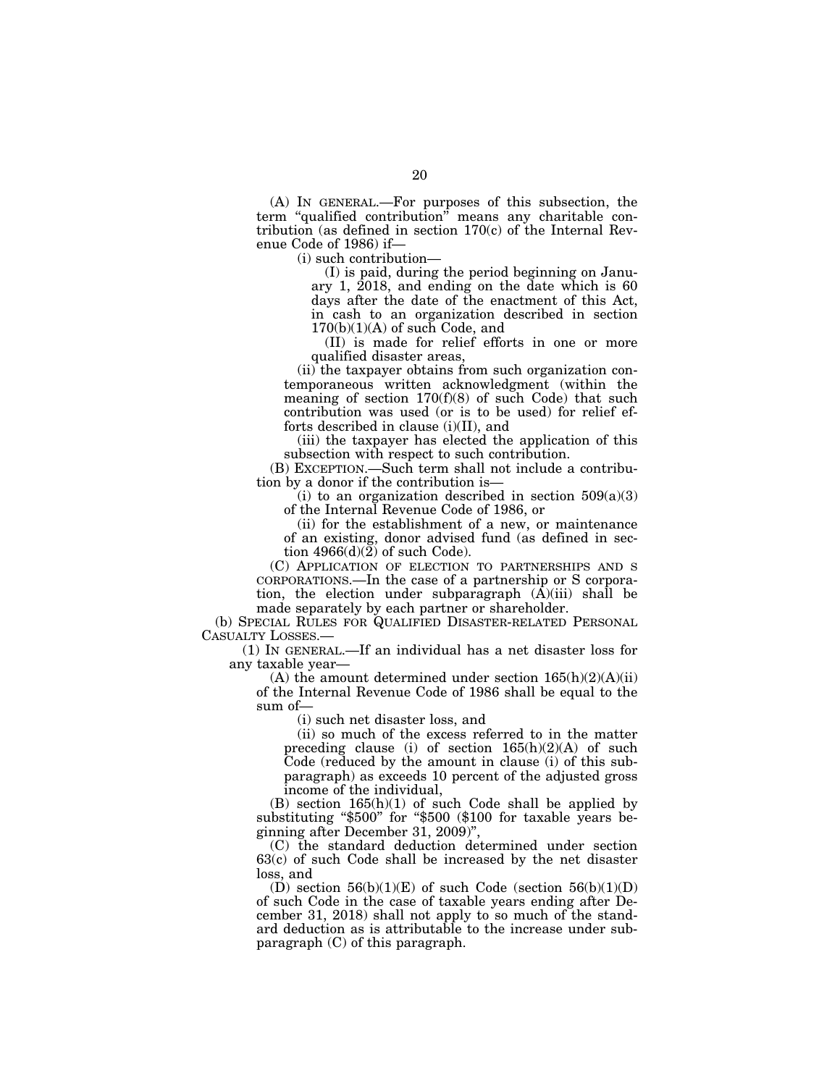(A) IN GENERAL.—For purposes of this subsection, the term "qualified contribution" means any charitable contribution (as defined in section 170(c) of the Internal Revenue Code of 1986) if—

(i) such contribution—

(I) is paid, during the period beginning on January 1, 2018, and ending on the date which is 60 days after the date of the enactment of this Act, in cash to an organization described in section  $170(b)(1)(A)$  of such Code, and

(II) is made for relief efforts in one or more qualified disaster areas,

(ii) the taxpayer obtains from such organization contemporaneous written acknowledgment (within the meaning of section  $170(f)(8)$  of such Code) that such contribution was used (or is to be used) for relief efforts described in clause (i)(II), and

(iii) the taxpayer has elected the application of this subsection with respect to such contribution.

(B) EXCEPTION.—Such term shall not include a contribution by a donor if the contribution is—

(i) to an organization described in section  $509(a)(3)$ of the Internal Revenue Code of 1986, or

(ii) for the establishment of a new, or maintenance of an existing, donor advised fund (as defined in section  $4966(d)(2)$  of such Code).

(C) APPLICATION OF ELECTION TO PARTNERSHIPS AND S CORPORATIONS.—In the case of a partnership or S corporation, the election under subparagraph  $(A)(iii)$  shall be made separately by each partner or shareholder.

(b) SPECIAL RULES FOR QUALIFIED DISASTER-RELATED PERSONAL CASUALTY LOSSES.—

(1) IN GENERAL.—If an individual has a net disaster loss for any taxable year—

(A) the amount determined under section  $165(h)(2)(A)(ii)$ of the Internal Revenue Code of 1986 shall be equal to the sum of—

(i) such net disaster loss, and

(ii) so much of the excess referred to in the matter preceding clause (i) of section  $165(h)(2)(A)$  of such Code (reduced by the amount in clause (i) of this subparagraph) as exceeds 10 percent of the adjusted gross income of the individual,

(B) section 165(h)(1) of such Code shall be applied by substituting "\$500" for "\$500 (\$100 for taxable years beginning after December 31, 2009)'',

(C) the standard deduction determined under section 63(c) of such Code shall be increased by the net disaster loss, and

(D) section  $56(b)(1)(E)$  of such Code (section  $56(b)(1)(D)$ ) of such Code in the case of taxable years ending after December 31, 2018) shall not apply to so much of the standard deduction as is attributable to the increase under subparagraph (C) of this paragraph.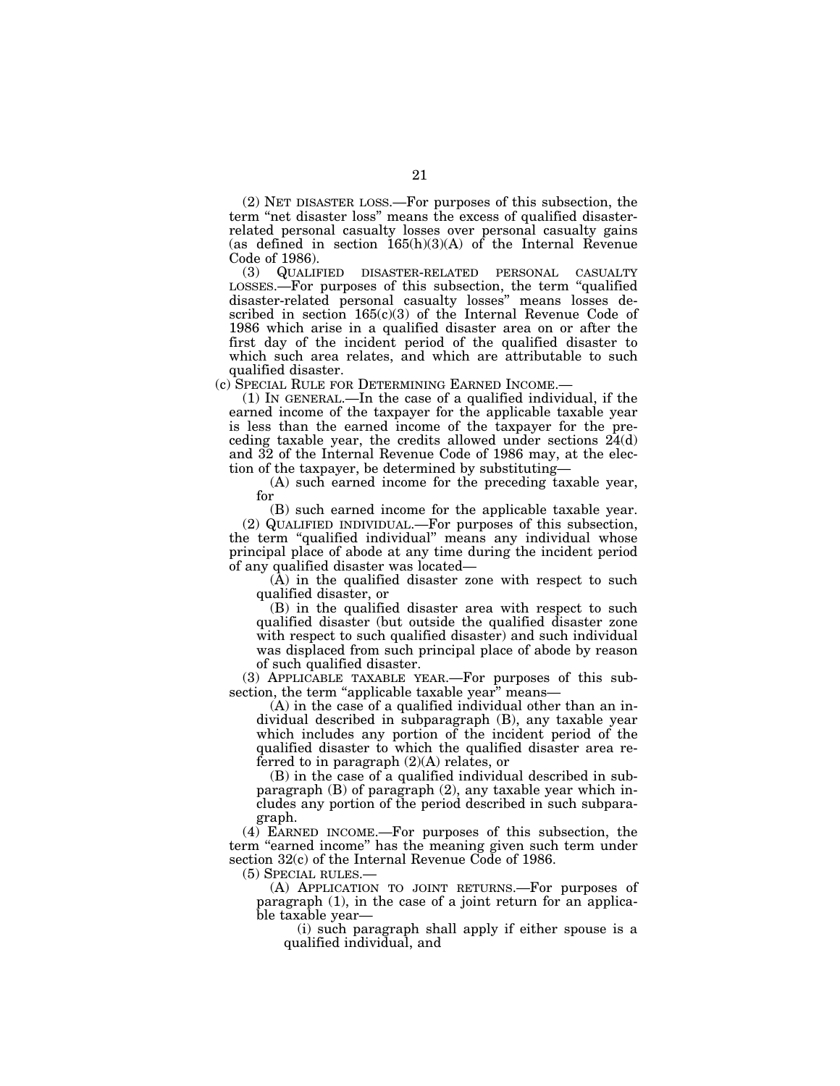(2) NET DISASTER LOSS.—For purposes of this subsection, the term ''net disaster loss'' means the excess of qualified disasterrelated personal casualty losses over personal casualty gains (as defined in section  $165(h)(3)(A)$  of the Internal Revenue Code of 1986).<br>(3) QUALIF

(3) QUALIFIED DISASTER-RELATED PERSONAL CASUALTY LOSSES.—For purposes of this subsection, the term ''qualified disaster-related personal casualty losses'' means losses described in section 165(c)(3) of the Internal Revenue Code of 1986 which arise in a qualified disaster area on or after the first day of the incident period of the qualified disaster to which such area relates, and which are attributable to such qualified disaster.

(c) SPECIAL RULE FOR DETERMINING EARNED INCOME.—

(1) IN GENERAL.—In the case of a qualified individual, if the earned income of the taxpayer for the applicable taxable year is less than the earned income of the taxpayer for the preceding taxable year, the credits allowed under sections 24(d) and 32 of the Internal Revenue Code of 1986 may, at the election of the taxpayer, be determined by substituting—

(A) such earned income for the preceding taxable year, for

(B) such earned income for the applicable taxable year.

(2) QUALIFIED INDIVIDUAL.—For purposes of this subsection, the term ''qualified individual'' means any individual whose principal place of abode at any time during the incident period of any qualified disaster was located—

(A) in the qualified disaster zone with respect to such qualified disaster, or

(B) in the qualified disaster area with respect to such qualified disaster (but outside the qualified disaster zone with respect to such qualified disaster) and such individual was displaced from such principal place of abode by reason of such qualified disaster.

(3) APPLICABLE TAXABLE YEAR.—For purposes of this subsection, the term "applicable taxable year" means-

(A) in the case of a qualified individual other than an individual described in subparagraph (B), any taxable year which includes any portion of the incident period of the qualified disaster to which the qualified disaster area referred to in paragraph (2)(A) relates, or

(B) in the case of a qualified individual described in subparagraph (B) of paragraph (2), any taxable year which includes any portion of the period described in such subparagraph.

(4) EARNED INCOME.—For purposes of this subsection, the term "earned income" has the meaning given such term under section 32(c) of the Internal Revenue Code of 1986.

(5) SPECIAL RULES.—

(A) APPLICATION TO JOINT RETURNS.—For purposes of paragraph (1), in the case of a joint return for an applicable taxable year—

(i) such paragraph shall apply if either spouse is a qualified individual, and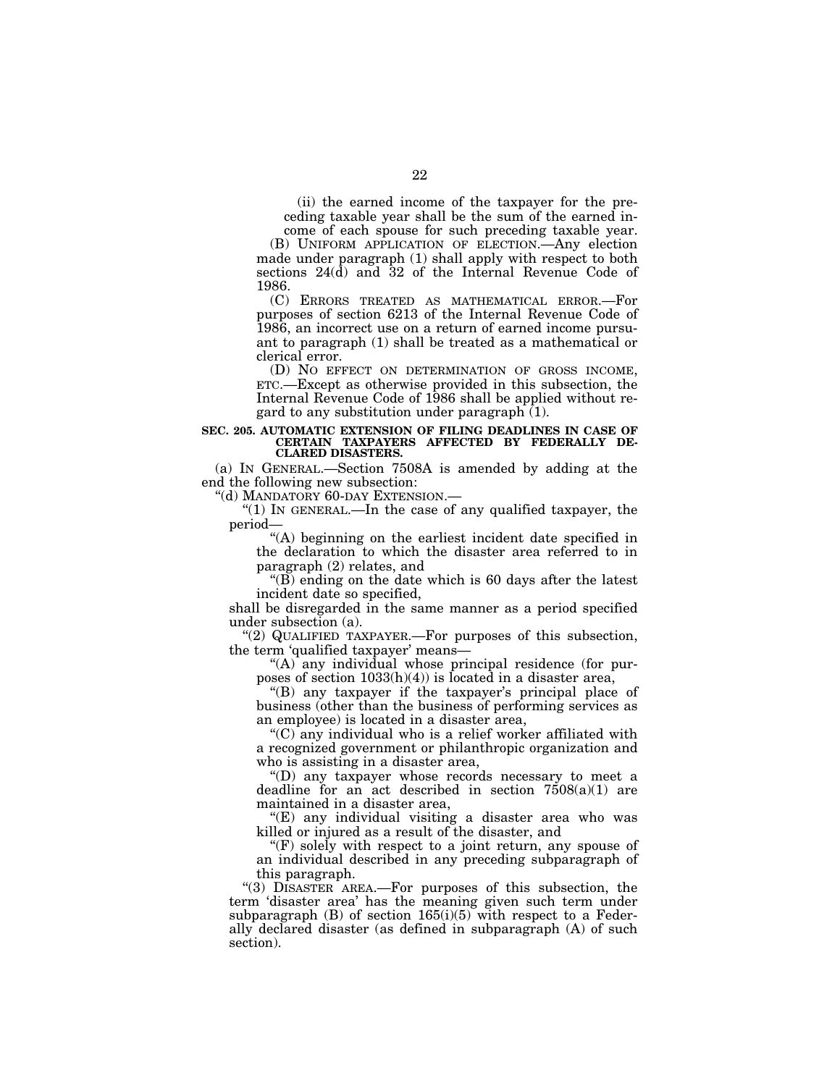(ii) the earned income of the taxpayer for the preceding taxable year shall be the sum of the earned in-

come of each spouse for such preceding taxable year. (B) UNIFORM APPLICATION OF ELECTION.—Any election made under paragraph (1) shall apply with respect to both sections 24(d) and 32 of the Internal Revenue Code of 1986.

(C) ERRORS TREATED AS MATHEMATICAL ERROR.—For purposes of section 6213 of the Internal Revenue Code of 1986, an incorrect use on a return of earned income pursuant to paragraph (1) shall be treated as a mathematical or clerical error.

(D) NO EFFECT ON DETERMINATION OF GROSS INCOME, ETC.—Except as otherwise provided in this subsection, the Internal Revenue Code of 1986 shall be applied without regard to any substitution under paragraph (1).

### **SEC. 205. AUTOMATIC EXTENSION OF FILING DEADLINES IN CASE OF CERTAIN TAXPAYERS AFFECTED BY FEDERALLY DE-CLARED DISASTERS.**

(a) IN GENERAL.—Section 7508A is amended by adding at the end the following new subsection:

''(d) MANDATORY 60-DAY EXTENSION.—

"(1) In GENERAL.—In the case of any qualified taxpayer, the period—

''(A) beginning on the earliest incident date specified in the declaration to which the disaster area referred to in paragraph (2) relates, and

''(B) ending on the date which is 60 days after the latest incident date so specified,

shall be disregarded in the same manner as a period specified under subsection (a).

''(2) QUALIFIED TAXPAYER.—For purposes of this subsection, the term 'qualified taxpayer' means—

"(A) any individual whose principal residence (for purposes of section  $1033(h)(4)$ ) is located in a disaster area,

''(B) any taxpayer if the taxpayer's principal place of business (other than the business of performing services as an employee) is located in a disaster area,

''(C) any individual who is a relief worker affiliated with a recognized government or philanthropic organization and who is assisting in a disaster area,

''(D) any taxpayer whose records necessary to meet a deadline for an act described in section  $7508(a)(1)$  are maintained in a disaster area,

''(E) any individual visiting a disaster area who was killed or injured as a result of the disaster, and

 $f(F)$  solely with respect to a joint return, any spouse of an individual described in any preceding subparagraph of this paragraph.

''(3) DISASTER AREA.—For purposes of this subsection, the term 'disaster area' has the meaning given such term under subparagraph  $(B)$  of section 165(i)(5) with respect to a Federally declared disaster (as defined in subparagraph (A) of such section).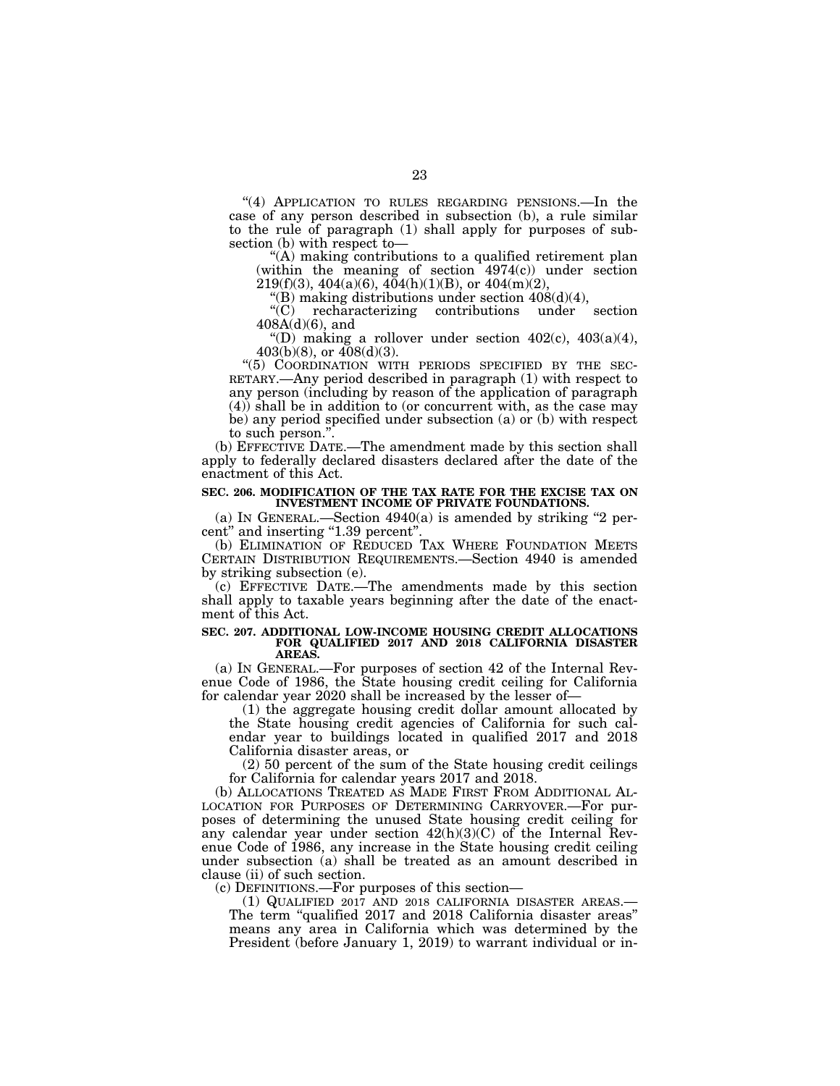"(4) APPLICATION TO RULES REGARDING PENSIONS.—In the case of any person described in subsection (b), a rule similar to the rule of paragraph (1) shall apply for purposes of subsection (b) with respect to—

''(A) making contributions to a qualified retirement plan (within the meaning of section 4974(c)) under section  $219(f)(3)$ ,  $404(a)(6)$ ,  $404(h)(1)(B)$ , or  $404(m)(2)$ ,

"(B) making distributions under section  $408(d)(4)$ ,<br>"(C) recharacterizing contributions under recharacterizing contributions under section 408A(d)(6), and

"(D) making a rollover under section  $402(c)$ ,  $403(a)(4)$ ,  $403(b)(8)$ , or  $408(d)(3)$ .

''(5) COORDINATION WITH PERIODS SPECIFIED BY THE SEC- RETARY.—Any period described in paragraph (1) with respect to any person (including by reason of the application of paragraph (4)) shall be in addition to (or concurrent with, as the case may be) any period specified under subsection (a) or (b) with respect to such person.''.

(b) EFFECTIVE DATE.—The amendment made by this section shall apply to federally declared disasters declared after the date of the enactment of this Act.

### **SEC. 206. MODIFICATION OF THE TAX RATE FOR THE EXCISE TAX ON INVESTMENT INCOME OF PRIVATE FOUNDATIONS.**

(a) IN GENERAL.—Section  $4940(a)$  is amended by striking "2 percent" and inserting "1.39 percent".

(b) ELIMINATION OF REDUCED TAX WHERE FOUNDATION MEETS CERTAIN DISTRIBUTION REQUIREMENTS.—Section 4940 is amended by striking subsection (e).

(c) EFFECTIVE DATE.—The amendments made by this section shall apply to taxable years beginning after the date of the enactment of this Act.

#### **SEC. 207. ADDITIONAL LOW-INCOME HOUSING CREDIT ALLOCATIONS FOR QUALIFIED 2017 AND 2018 CALIFORNIA DISASTER AREAS.**

(a) IN GENERAL.—For purposes of section 42 of the Internal Revenue Code of 1986, the State housing credit ceiling for California for calendar year 2020 shall be increased by the lesser of—

(1) the aggregate housing credit dollar amount allocated by the State housing credit agencies of California for such calendar year to buildings located in qualified 2017 and 2018 California disaster areas, or

(2) 50 percent of the sum of the State housing credit ceilings for California for calendar years 2017 and 2018.

(b) ALLOCATIONS TREATED AS MADE FIRST FROM ADDITIONAL AL- LOCATION FOR PURPOSES OF DETERMINING CARRYOVER.—For purposes of determining the unused State housing credit ceiling for any calendar year under section 42(h)(3)(C) of the Internal Revenue Code of 1986, any increase in the State housing credit ceiling under subsection (a) shall be treated as an amount described in clause (ii) of such section.

(c) DEFINITIONS.—For purposes of this section—

(1) QUALIFIED 2017 AND 2018 CALIFORNIA DISASTER AREAS.— The term ''qualified 2017 and 2018 California disaster areas'' means any area in California which was determined by the President (before January 1, 2019) to warrant individual or in-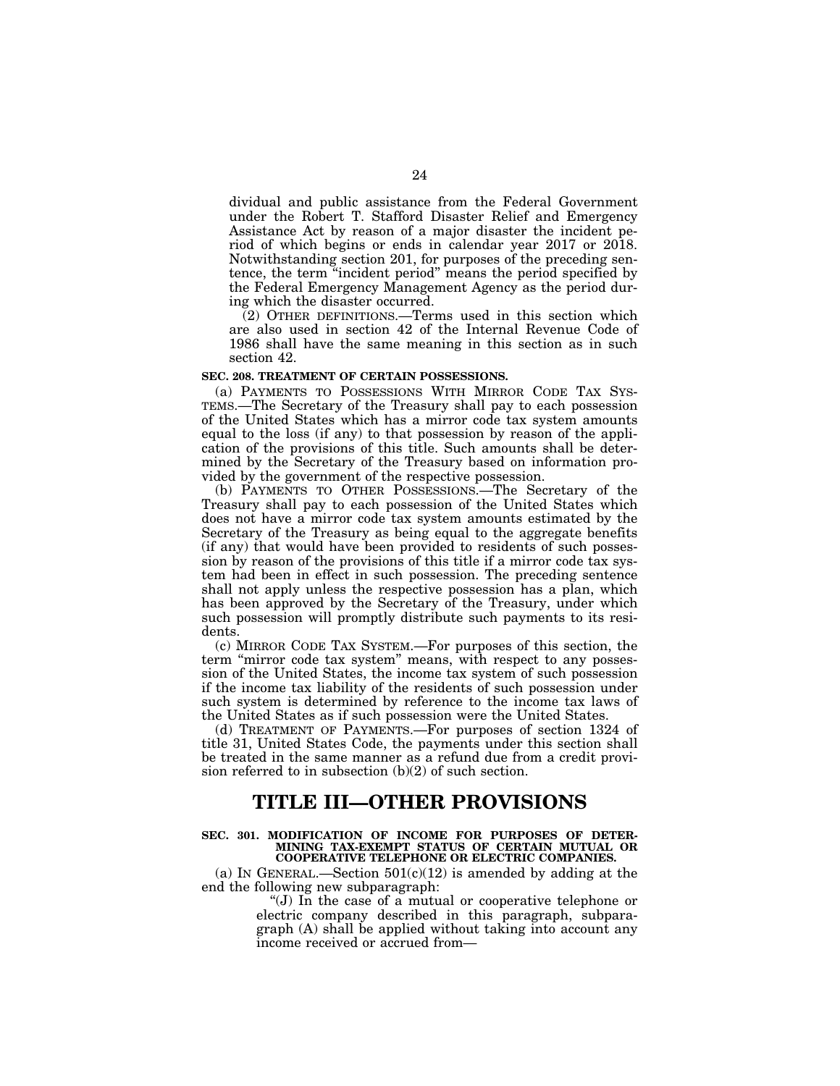dividual and public assistance from the Federal Government under the Robert T. Stafford Disaster Relief and Emergency Assistance Act by reason of a major disaster the incident period of which begins or ends in calendar year 2017 or 2018. Notwithstanding section 201, for purposes of the preceding sentence, the term "incident period" means the period specified by the Federal Emergency Management Agency as the period during which the disaster occurred.

(2) OTHER DEFINITIONS.—Terms used in this section which are also used in section 42 of the Internal Revenue Code of 1986 shall have the same meaning in this section as in such section 42.

## **SEC. 208. TREATMENT OF CERTAIN POSSESSIONS.**

(a) PAYMENTS TO POSSESSIONS WITH MIRROR CODE TAX SYS-TEMS.—The Secretary of the Treasury shall pay to each possession of the United States which has a mirror code tax system amounts equal to the loss (if any) to that possession by reason of the application of the provisions of this title. Such amounts shall be determined by the Secretary of the Treasury based on information provided by the government of the respective possession.

(b) PAYMENTS TO OTHER POSSESSIONS.—The Secretary of the Treasury shall pay to each possession of the United States which does not have a mirror code tax system amounts estimated by the Secretary of the Treasury as being equal to the aggregate benefits (if any) that would have been provided to residents of such possession by reason of the provisions of this title if a mirror code tax system had been in effect in such possession. The preceding sentence shall not apply unless the respective possession has a plan, which has been approved by the Secretary of the Treasury, under which such possession will promptly distribute such payments to its residents.

(c) MIRROR CODE TAX SYSTEM.—For purposes of this section, the term "mirror code tax system" means, with respect to any possession of the United States, the income tax system of such possession if the income tax liability of the residents of such possession under such system is determined by reference to the income tax laws of the United States as if such possession were the United States.

(d) TREATMENT OF PAYMENTS.—For purposes of section 1324 of title 31, United States Code, the payments under this section shall be treated in the same manner as a refund due from a credit provision referred to in subsection  $(b)(2)$  of such section.

# **TITLE III—OTHER PROVISIONS**

**SEC. 301. MODIFICATION OF INCOME FOR PURPOSES OF DETER-MINING TAX-EXEMPT STATUS OF CERTAIN MUTUAL OR COOPERATIVE TELEPHONE OR ELECTRIC COMPANIES.** 

(a) IN GENERAL.—Section  $501(c)(12)$  is amended by adding at the end the following new subparagraph:

> ''(J) In the case of a mutual or cooperative telephone or electric company described in this paragraph, subparagraph (A) shall be applied without taking into account any income received or accrued from—